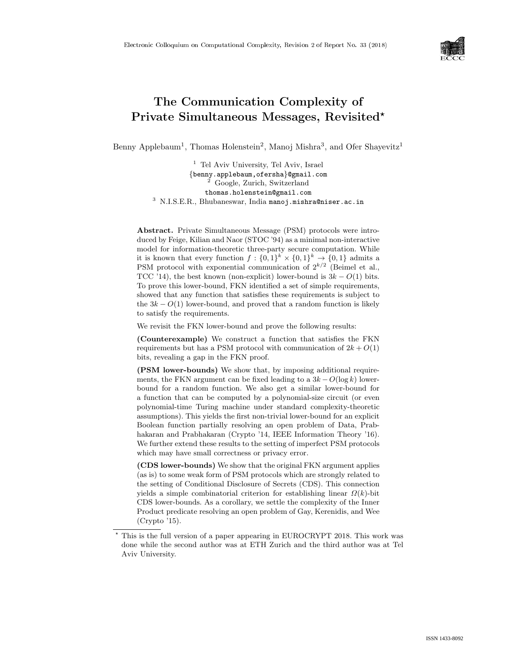

# The Communication Complexity of Private Simultaneous Messages, Revisited\*

Benny Applebaum<sup>1</sup>, Thomas Holenstein<sup>2</sup>, Manoj Mishra<sup>3</sup>, and Ofer Shayevitz<sup>1</sup>

<sup>1</sup> Tel Aviv University, Tel Aviv, Israel {benny.applebaum,ofersha}@gmail.com <sup>2</sup> Google, Zurich, Switzerland thomas.holenstein@gmail.com  $3$  N.I.S.E.R., Bhubaneswar, India manoj.mishra@niser.ac.in

Abstract. Private Simultaneous Message (PSM) protocols were introduced by Feige, Kilian and Naor (STOC '94) as a minimal non-interactive model for information-theoretic three-party secure computation. While it is known that every function  $f: \{0,1\}^k \times \{0,1\}^k \to \{0,1\}$  admits a PSM protocol with exponential communication of  $2^{k/2}$  (Beimel et al., TCC '14), the best known (non-explicit) lower-bound is  $3k - O(1)$  bits. To prove this lower-bound, FKN identified a set of simple requirements, showed that any function that satisfies these requirements is subject to the  $3k - O(1)$  lower-bound, and proved that a random function is likely to satisfy the requirements.

We revisit the FKN lower-bound and prove the following results:

(Counterexample) We construct a function that satisfies the FKN requirements but has a PSM protocol with communication of  $2k + O(1)$ bits, revealing a gap in the FKN proof.

(PSM lower-bounds) We show that, by imposing additional requirements, the FKN argument can be fixed leading to a  $3k - O(\log k)$  lowerbound for a random function. We also get a similar lower-bound for a function that can be computed by a polynomial-size circuit (or even polynomial-time Turing machine under standard complexity-theoretic assumptions). This yields the first non-trivial lower-bound for an explicit Boolean function partially resolving an open problem of Data, Prabhakaran and Prabhakaran (Crypto '14, IEEE Information Theory '16). We further extend these results to the setting of imperfect PSM protocols which may have small correctness or privacy error.

(CDS lower-bounds) We show that the original FKN argument applies (as is) to some weak form of PSM protocols which are strongly related to the setting of Conditional Disclosure of Secrets (CDS). This connection yields a simple combinatorial criterion for establishing linear  $\Omega(k)$ -bit CDS lower-bounds. As a corollary, we settle the complexity of the Inner Product predicate resolving an open problem of Gay, Kerenidis, and Wee (Crypto '15).

This is the full version of a paper appearing in EUROCRYPT 2018. This work was done while the second author was at ETH Zurich and the third author was at Tel Aviv University.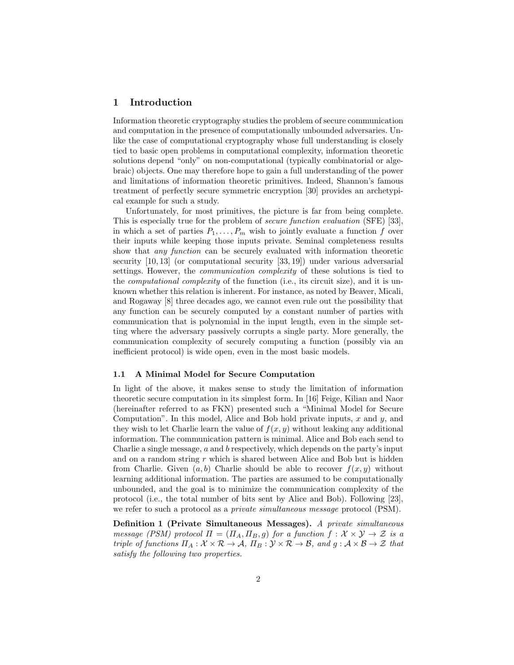## 1 Introduction

Information theoretic cryptography studies the problem of secure communication and computation in the presence of computationally unbounded adversaries. Unlike the case of computational cryptography whose full understanding is closely tied to basic open problems in computational complexity, information theoretic solutions depend "only" on non-computational (typically combinatorial or algebraic) objects. One may therefore hope to gain a full understanding of the power and limitations of information theoretic primitives. Indeed, Shannon's famous treatment of perfectly secure symmetric encryption [30] provides an archetypical example for such a study.

Unfortunately, for most primitives, the picture is far from being complete. This is especially true for the problem of secure function evaluation (SFE) [33], in which a set of parties  $P_1, \ldots, P_m$  wish to jointly evaluate a function f over their inputs while keeping those inputs private. Seminal completeness results show that *any function* can be securely evaluated with information theoretic security [10, 13] (or computational security [33, 19]) under various adversarial settings. However, the *communication complexity* of these solutions is tied to the computational complexity of the function (i.e., its circuit size), and it is unknown whether this relation is inherent. For instance, as noted by Beaver, Micali, and Rogaway [8] three decades ago, we cannot even rule out the possibility that any function can be securely computed by a constant number of parties with communication that is polynomial in the input length, even in the simple setting where the adversary passively corrupts a single party. More generally, the communication complexity of securely computing a function (possibly via an inefficient protocol) is wide open, even in the most basic models.

#### 1.1 A Minimal Model for Secure Computation

In light of the above, it makes sense to study the limitation of information theoretic secure computation in its simplest form. In [16] Feige, Kilian and Naor (hereinafter referred to as FKN) presented such a "Minimal Model for Secure Computation". In this model, Alice and Bob hold private inputs, x and  $y$ , and they wish to let Charlie learn the value of  $f(x, y)$  without leaking any additional information. The communication pattern is minimal. Alice and Bob each send to Charlie a single message,  $a$  and  $b$  respectively, which depends on the party's input and on a random string  $r$  which is shared between Alice and Bob but is hidden from Charlie. Given  $(a, b)$  Charlie should be able to recover  $f(x, y)$  without learning additional information. The parties are assumed to be computationally unbounded, and the goal is to minimize the communication complexity of the protocol (i.e., the total number of bits sent by Alice and Bob). Following [23], we refer to such a protocol as a private simultaneous message protocol (PSM).

Definition 1 (Private Simultaneous Messages). A private simultaneous message (PSM) protocol  $\Pi = (\Pi_A, \Pi_B, g)$  for a function  $f : \mathcal{X} \times \mathcal{Y} \to \mathcal{Z}$  is a triple of functions  $\Pi_A : \mathcal{X} \times \mathcal{R} \to \mathcal{A}, \Pi_B : \mathcal{Y} \times \mathcal{R} \to \mathcal{B}, \text{ and } g : \mathcal{A} \times \mathcal{B} \to \mathcal{Z}$  that satisfy the following two properties.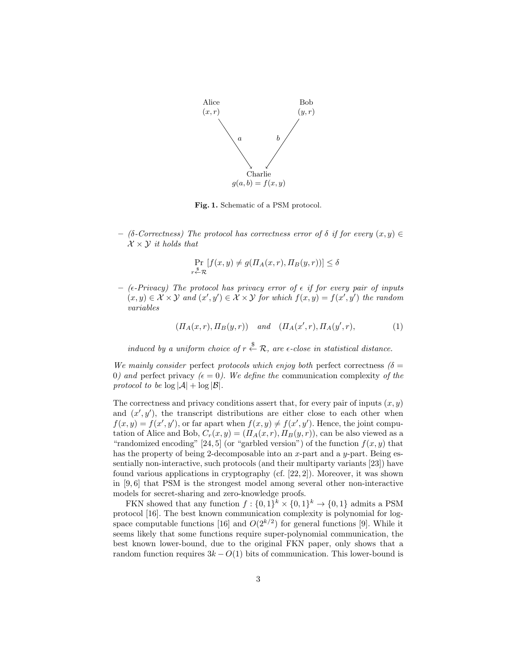

Fig. 1. Schematic of a PSM protocol.

– (δ-Correctness) The protocol has correctness error of δ if for every (x, y) ∈  $\mathcal{X} \times \mathcal{Y}$  it holds that

$$
\Pr_{r \stackrel{k}{\leftarrow} \mathcal{R}} [f(x, y) \neq g(\Pi_A(x, r), \Pi_B(y, r))] \le \delta
$$

 $-$  ( $\epsilon$ -Privacy) The protocol has privacy error of  $\epsilon$  if for every pair of inputs  $(x, y) \in \mathcal{X} \times \mathcal{Y}$  and  $(x', y') \in \mathcal{X} \times \mathcal{Y}$  for which  $f(x, y) = f(x', y')$  the random variables

$$
(H_A(x,r), H_B(y,r)) \quad and \quad (H_A(x',r), H_A(y',r), \tag{1}
$$

induced by a uniform choice of  $r \stackrel{\$}{\leftarrow} \mathcal{R}$ , are  $\epsilon$ -close in statistical distance.

We mainly consider perfect protocols which enjoy both perfect correctness ( $\delta =$ 0) and perfect privacy ( $\epsilon = 0$ ). We define the communication complexity of the protocol to be  $\log |\mathcal{A}| + \log |\mathcal{B}|$ .

The correctness and privacy conditions assert that, for every pair of inputs  $(x, y)$ and  $(x', y')$ , the transcript distributions are either close to each other when  $f(x, y) = f(x', y')$ , or far apart when  $f(x, y) \neq f(x', y')$ . Hence, the joint computation of Alice and Bob,  $C_r(x, y) = (H_A(x, r), H_B(y, r))$ , can be also viewed as a "randomized encoding" [24, 5] (or "garbled version") of the function  $f(x, y)$  that has the property of being 2-decomposable into an x-part and a y-part. Being essentially non-interactive, such protocols (and their multiparty variants [23]) have found various applications in cryptography (cf. [22, 2]). Moreover, it was shown in [9, 6] that PSM is the strongest model among several other non-interactive models for secret-sharing and zero-knowledge proofs.

FKN showed that any function  $f: \{0,1\}^k \times \{0,1\}^k \to \{0,1\}$  admits a PSM protocol [16]. The best known communication complexity is polynomial for logspace computable functions [16] and  $O(2^{k/2})$  for general functions [9]. While it seems likely that some functions require super-polynomial communication, the best known lower-bound, due to the original FKN paper, only shows that a random function requires  $3k - O(1)$  bits of communication. This lower-bound is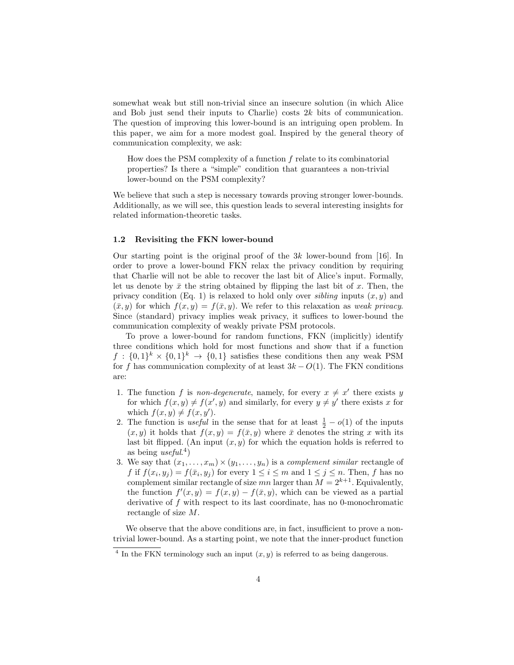somewhat weak but still non-trivial since an insecure solution (in which Alice and Bob just send their inputs to Charlie) costs  $2k$  bits of communication. The question of improving this lower-bound is an intriguing open problem. In this paper, we aim for a more modest goal. Inspired by the general theory of communication complexity, we ask:

How does the PSM complexity of a function f relate to its combinatorial properties? Is there a "simple" condition that guarantees a non-trivial lower-bound on the PSM complexity?

We believe that such a step is necessary towards proving stronger lower-bounds. Additionally, as we will see, this question leads to several interesting insights for related information-theoretic tasks.

#### 1.2 Revisiting the FKN lower-bound

Our starting point is the original proof of the  $3k$  lower-bound from [16]. In order to prove a lower-bound FKN relax the privacy condition by requiring that Charlie will not be able to recover the last bit of Alice's input. Formally, let us denote by  $\bar{x}$  the string obtained by flipping the last bit of x. Then, the privacy condition (Eq. 1) is relaxed to hold only over *sibling* inputs  $(x, y)$  and  $(\bar{x}, y)$  for which  $f(x, y) = f(\bar{x}, y)$ . We refer to this relaxation as weak privacy. Since (standard) privacy implies weak privacy, it suffices to lower-bound the communication complexity of weakly private PSM protocols.

To prove a lower-bound for random functions, FKN (implicitly) identify three conditions which hold for most functions and show that if a function  $f: \{0,1\}^k \times \{0,1\}^k \rightarrow \{0,1\}$  satisfies these conditions then any weak PSM for f has communication complexity of at least  $3k - O(1)$ . The FKN conditions are:

- 1. The function f is non-degenerate, namely, for every  $x \neq x'$  there exists y for which  $f(x, y) \neq f(x', y)$  and similarly, for every  $y \neq y'$  there exists x for which  $f(x, y) \neq f(x, y')$ .
- 2. The function is *useful* in the sense that for at least  $\frac{1}{2} o(1)$  of the inputs  $(x, y)$  it holds that  $f(x, y) = f(\bar{x}, y)$  where  $\bar{x}$  denotes the string x with its last bit flipped. (An input  $(x, y)$  for which the equation holds is referred to as being  $useful.^4$ )
- 3. We say that  $(x_1, \ldots, x_m) \times (y_1, \ldots, y_n)$  is a *complement similar* rectangle of f if  $f(x_i, y_j) = f(\bar{x}_i, y_j)$  for every  $1 \leq i \leq m$  and  $1 \leq j \leq n$ . Then, f has no complement similar rectangle of size mn larger than  $M = 2^{k+1}$ . Equivalently, the function  $f'(x, y) = f(x, y) - f(\bar{x}, y)$ , which can be viewed as a partial derivative of  $f$  with respect to its last coordinate, has no 0-monochromatic rectangle of size M.

We observe that the above conditions are, in fact, insufficient to prove a nontrivial lower-bound. As a starting point, we note that the inner-product function

<sup>&</sup>lt;sup>4</sup> In the FKN terminology such an input  $(x, y)$  is referred to as being dangerous.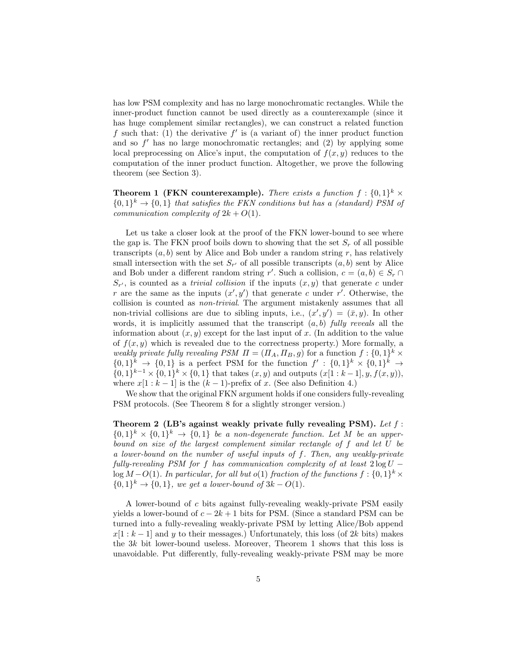has low PSM complexity and has no large monochromatic rectangles. While the inner-product function cannot be used directly as a counterexample (since it has huge complement similar rectangles), we can construct a related function f such that: (1) the derivative  $f'$  is (a variant of) the inner product function and so  $f'$  has no large monochromatic rectangles; and  $(2)$  by applying some local preprocessing on Alice's input, the computation of  $f(x, y)$  reduces to the computation of the inner product function. Altogether, we prove the following theorem (see Section 3).

**Theorem 1 (FKN counterexample).** There exists a function  $f : \{0,1\}^k \times$  $\{0,1\}^k \rightarrow \{0,1\}$  that satisfies the FKN conditions but has a (standard) PSM of communication complexity of  $2k + O(1)$ .

Let us take a closer look at the proof of the FKN lower-bound to see where the gap is. The FKN proof boils down to showing that the set  $S_r$  of all possible transcripts  $(a, b)$  sent by Alice and Bob under a random string r, has relatively small intersection with the set  $S_{r'}$  of all possible transcripts  $(a, b)$  sent by Alice and Bob under a different random string r'. Such a collision,  $c = (a, b) \in S_r \cap$  $S_{r'}$ , is counted as a *trivial collision* if the inputs  $(x, y)$  that generate c under r are the same as the inputs  $(x', y')$  that generate c under r'. Otherwise, the collision is counted as non-trivial. The argument mistakenly assumes that all non-trivial collisions are due to sibling inputs, i.e.,  $(x', y') = (\bar{x}, y)$ . In other words, it is implicitly assumed that the transcript  $(a, b)$  fully reveals all the information about  $(x, y)$  except for the last input of x. (In addition to the value of  $f(x, y)$  which is revealed due to the correctness property.) More formally, a weakly private fully revealing PSM  $\Pi = (\Pi_A, \Pi_B, g)$  for a function  $f: \{0,1\}^k \times$  $\{0,1\}^k \to \{0,1\}$  is a perfect PSM for the function  $f' : \{0,1\}^k \times \{0,1\}^k \to$  $\{0,1\}^{k-1} \times \{0,1\}^k \times \{0,1\}$  that takes  $(x, y)$  and outputs  $(x[1:k-1], y, f(x, y)),$ where  $x[1 : k - 1]$  is the  $(k - 1)$ -prefix of x. (See also Definition 4.)

We show that the original FKN argument holds if one considers fully-revealing PSM protocols. (See Theorem 8 for a slightly stronger version.)

Theorem 2 (LB's against weakly private fully revealing PSM). Let  $f$ :  $\{0,1\}^k \times \{0,1\}^k \rightarrow \{0,1\}$  be a non-degenerate function. Let M be an upperbound on size of the largest complement similar rectangle of f and let U be a lower-bound on the number of useful inputs of f. Then, any weakly-private fully-revealing PSM for f has communication complexity of at least  $2 \log U \log M - O(1)$ . In particular, for all but  $o(1)$  fraction of the functions  $f: \{0,1\}^k \times$  $\{0,1\}^k \to \{0,1\}$ , we get a lower-bound of  $3k - O(1)$ .

A lower-bound of c bits against fully-revealing weakly-private PSM easily yields a lower-bound of  $c - 2k + 1$  bits for PSM. (Since a standard PSM can be turned into a fully-revealing weakly-private PSM by letting Alice/Bob append  $x[1 : k-1]$  and y to their messages.) Unfortunately, this loss (of 2k bits) makes the  $3k$  bit lower-bound useless. Moreover, Theorem 1 shows that this loss is unavoidable. Put differently, fully-revealing weakly-private PSM may be more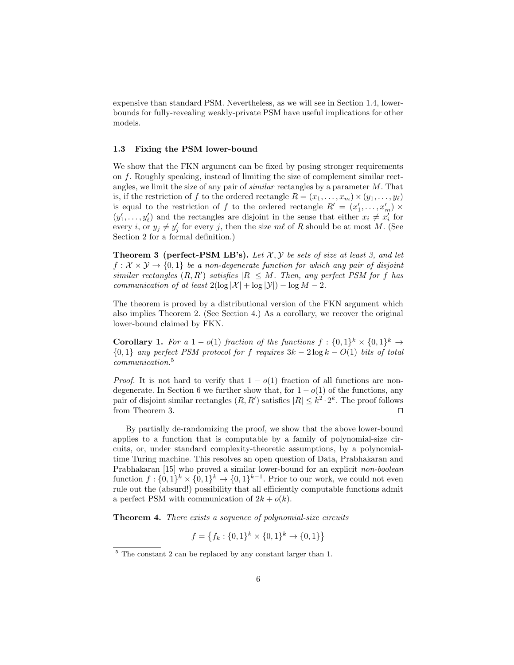expensive than standard PSM. Nevertheless, as we will see in Section 1.4, lowerbounds for fully-revealing weakly-private PSM have useful implications for other models.

#### 1.3 Fixing the PSM lower-bound

We show that the FKN argument can be fixed by posing stronger requirements on f. Roughly speaking, instead of limiting the size of complement similar rectangles, we limit the size of any pair of *similar* rectangles by a parameter  $M$ . That is, if the restriction of f to the ordered rectangle  $R = (x_1, \ldots, x_m) \times (y_1, \ldots, y_\ell)$ is equal to the restriction of f to the ordered rectangle  $R' = (x'_1, \ldots, x'_m) \times$  $(y'_1, \ldots, y'_\ell)$  and the rectangles are disjoint in the sense that either  $x_i \neq x'_i$  for every *i*, or  $y_j \neq y'_j$  for every *j*, then the size  $m\ell$  of R should be at most M. (See Section 2 for a formal definition.)

**Theorem 3 (perfect-PSM LB's).** Let  $\mathcal{X}, \mathcal{Y}$  be sets of size at least 3, and let  $f: \mathcal{X} \times \mathcal{Y} \rightarrow \{0,1\}$  be a non-degenerate function for which any pair of disjoint similar rectangles  $(R, R')$  satisfies  $|R| \leq M$ . Then, any perfect PSM for f has communication of at least  $2(\log |\mathcal{X}| + \log |\mathcal{Y}|) - \log M - 2$ .

The theorem is proved by a distributional version of the FKN argument which also implies Theorem 2. (See Section 4.) As a corollary, we recover the original lower-bound claimed by FKN.

**Corollary 1.** For a 1 – o(1) fraction of the functions  $f: \{0,1\}^k \times \{0,1\}^k \to$  ${0, 1}$  any perfect PSM protocol for f requires  $3k - 2\log k - O(1)$  bits of total communication.<sup>5</sup>

*Proof.* It is not hard to verify that  $1 - o(1)$  fraction of all functions are nondegenerate. In Section 6 we further show that, for  $1 - o(1)$  of the functions, any pair of disjoint similar rectangles  $(R, R')$  satisfies  $|R| \leq k^2 \cdot 2^k$ . The proof follows from Theorem 3.  $\Box$ 

By partially de-randomizing the proof, we show that the above lower-bound applies to a function that is computable by a family of polynomial-size circuits, or, under standard complexity-theoretic assumptions, by a polynomialtime Turing machine. This resolves an open question of Data, Prabhakaran and Prabhakaran [15] who proved a similar lower-bound for an explicit non-boolean function  $f: \{0,1\}^k \times \{0,1\}^k \to \{0,1\}^{k-1}$ . Prior to our work, we could not even rule out the (absurd!) possibility that all efficiently computable functions admit a perfect PSM with communication of  $2k + o(k)$ .

Theorem 4. There exists a sequence of polynomial-size circuits

 $f = \{f_k : \{0,1\}^k \times \{0,1\}^k \rightarrow \{0,1\}\}\$ 

<sup>5</sup> The constant 2 can be replaced by any constant larger than 1.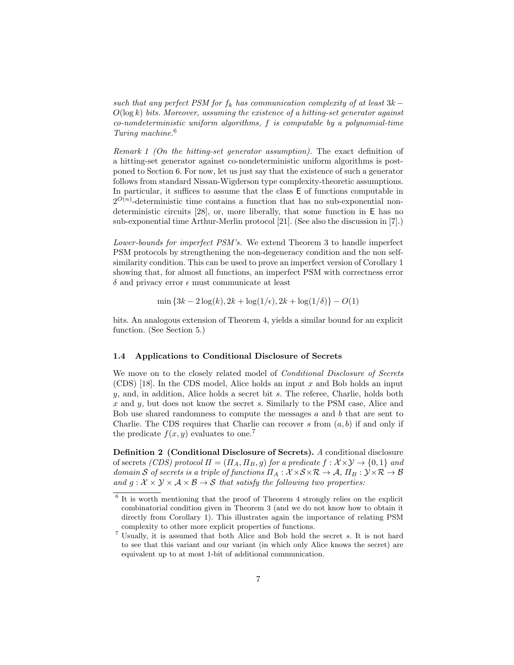such that any perfect PSM for  $f_k$  has communication complexity of at least  $3k O(\log k)$  bits. Moreover, assuming the existence of a hitting-set generator against co-nondeterministic uniform algorithms, f is computable by a polynomial-time Turing machine.<sup>6</sup>

Remark 1 (On the hitting-set generator assumption). The exact definition of a hitting-set generator against co-nondeterministic uniform algorithms is postponed to Section 6. For now, let us just say that the existence of such a generator follows from standard Nissan-Wigderson type complexity-theoretic assumptions. In particular, it suffices to assume that the class E of functions computable in  $2^{O(n)}$ -deterministic time contains a function that has no sub-exponential nondeterministic circuits [28], or, more liberally, that some function in E has no sub-exponential time Arthur-Merlin protocol [21]. (See also the discussion in [7].)

Lower-bounds for imperfect PSM's. We extend Theorem 3 to handle imperfect PSM protocols by strengthening the non-degeneracy condition and the non selfsimilarity condition. This can be used to prove an imperfect version of Corollary 1 showing that, for almost all functions, an imperfect PSM with correctness error  $\delta$  and privacy error  $\epsilon$  must communicate at least

$$
\min\{3k - 2\log(k), 2k + \log(1/\epsilon), 2k + \log(1/\delta)\} - O(1)
$$

bits. An analogous extension of Theorem 4, yields a similar bound for an explicit function. (See Section 5.)

#### 1.4 Applications to Conditional Disclosure of Secrets

We move on to the closely related model of *Conditional Disclosure of Secrets*  $(CDS)$  [18]. In the CDS model, Alice holds an input x and Bob holds an input y, and, in addition, Alice holds a secret bit s. The referee, Charlie, holds both  $x$  and  $y$ , but does not know the secret  $s$ . Similarly to the PSM case, Alice and Bob use shared randomness to compute the messages  $a$  and  $b$  that are sent to Charlie. The CDS requires that Charlie can recover s from  $(a, b)$  if and only if the predicate  $f(x, y)$  evaluates to one.<sup>7</sup>

Definition 2 (Conditional Disclosure of Secrets). A conditional disclosure of secrets *(CDS)* protocol  $\Pi = (\Pi_A, \Pi_B, q)$  for a predicate  $f : \mathcal{X} \times \mathcal{Y} \rightarrow \{0, 1\}$  and domain S of secrets is a triple of functions  $\Pi_A : \mathcal{X} \times \mathcal{S} \times \mathcal{R} \to \mathcal{A}, \Pi_B : \mathcal{Y} \times \mathcal{R} \to \mathcal{B}$ and  $g: \mathcal{X} \times \mathcal{Y} \times \mathcal{A} \times \mathcal{B} \rightarrow \mathcal{S}$  that satisfy the following two properties:

<sup>&</sup>lt;sup>6</sup> It is worth mentioning that the proof of Theorem 4 strongly relies on the explicit combinatorial condition given in Theorem 3 (and we do not know how to obtain it directly from Corollary 1). This illustrates again the importance of relating PSM complexity to other more explicit properties of functions.

<sup>7</sup> Usually, it is assumed that both Alice and Bob hold the secret s. It is not hard to see that this variant and our variant (in which only Alice knows the secret) are equivalent up to at most 1-bit of additional communication.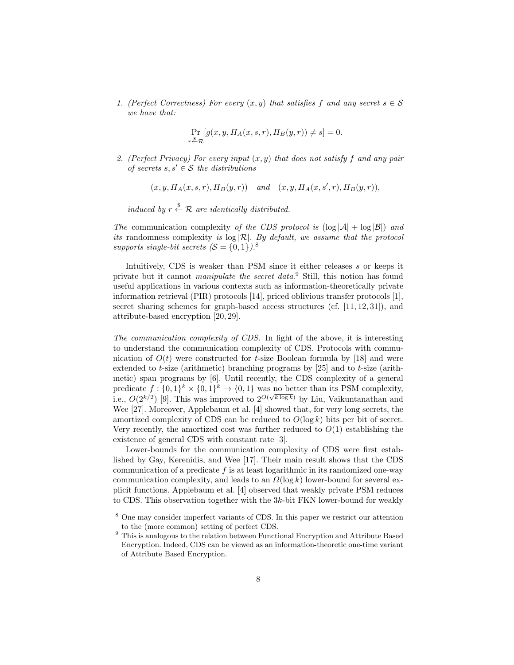1. (Perfect Correctness) For every  $(x, y)$  that satisfies f and any secret  $s \in \mathcal{S}$ we have that:

$$
\Pr_{r \stackrel{k}{\leftarrow} R} [g(x, y, \Pi_A(x, s, r), \Pi_B(y, r)) \neq s] = 0.
$$

2. (Perfect Privacy) For every input  $(x, y)$  that does not satisfy f and any pair of secrets  $s, s' \in \mathcal{S}$  the distributions

 $(x, y, \Pi_A(x, s, r), \Pi_B(y, r))$  and  $(x, y, \Pi_A(x, s', r), \Pi_B(y, r)),$ 

induced by  $r \stackrel{\$}{\leftarrow} \mathcal{R}$  are identically distributed.

The communication complexity of the CDS protocol is  $(\log |\mathcal{A}| + \log |\mathcal{B}|)$  and its randomness complexity is  $log |\mathcal{R}|$ . By default, we assume that the protocol supports single-bit secrets  $(S = \{0, 1\})$ .<sup>8</sup>

Intuitively, CDS is weaker than PSM since it either releases s or keeps it private but it cannot *manipulate the secret data*.<sup>9</sup> Still, this notion has found useful applications in various contexts such as information-theoretically private information retrieval (PIR) protocols [14], priced oblivious transfer protocols [1], secret sharing schemes for graph-based access structures (cf.  $[11, 12, 31]$ ), and attribute-based encryption [20, 29].

The communication complexity of CDS. In light of the above, it is interesting to understand the communication complexity of CDS. Protocols with communication of  $O(t)$  were constructed for t-size Boolean formula by [18] and were extended to  $t$ -size (arithmetic) branching programs by [25] and to  $t$ -size (arithmetic) span programs by [6]. Until recently, the CDS complexity of a general predicate  $f: \{0,1\}^k \times \{0,1\}^k \to \{0,1\}$  was no better than its PSM complexity, i.e.,  $O(2^{k/2})$  [9]. This was improved to  $2^{O(\sqrt{k \log k})}$  by Liu, Vaikuntanathan and Wee [27]. Moreover, Applebaum et al. [4] showed that, for very long secrets, the amortized complexity of CDS can be reduced to  $O(\log k)$  bits per bit of secret. Very recently, the amortized cost was further reduced to  $O(1)$  establishing the existence of general CDS with constant rate [3].

Lower-bounds for the communication complexity of CDS were first established by Gay, Kerenidis, and Wee [17]. Their main result shows that the CDS communication of a predicate  $f$  is at least logarithmic in its randomized one-way communication complexity, and leads to an  $\Omega(\log k)$  lower-bound for several explicit functions. Applebaum et al. [4] observed that weakly private PSM reduces to CDS. This observation together with the 3k-bit FKN lower-bound for weakly

<sup>8</sup> One may consider imperfect variants of CDS. In this paper we restrict our attention to the (more common) setting of perfect CDS.

<sup>&</sup>lt;sup>9</sup> This is analogous to the relation between Functional Encryption and Attribute Based Encryption. Indeed, CDS can be viewed as an information-theoretic one-time variant of Attribute Based Encryption.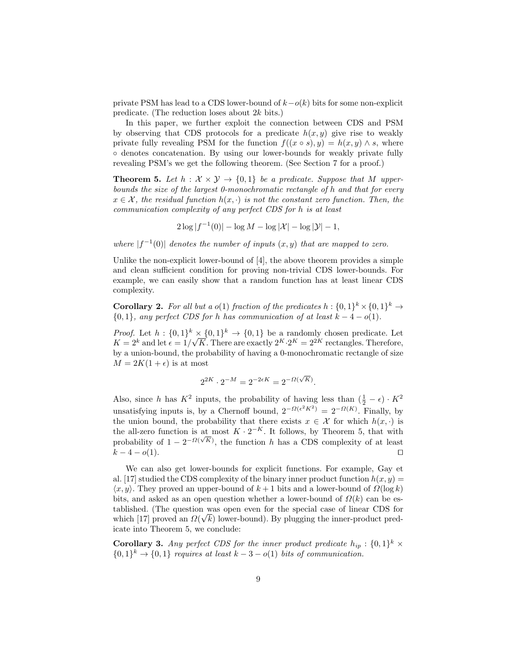private PSM has lead to a CDS lower-bound of  $k-o(k)$  bits for some non-explicit predicate. (The reduction loses about 2k bits.)

In this paper, we further exploit the connection between CDS and PSM by observing that CDS protocols for a predicate  $h(x, y)$  give rise to weakly private fully revealing PSM for the function  $f((x \circ s), y) = h(x, y) \wedge s$ , where ◦ denotes concatenation. By using our lower-bounds for weakly private fully revealing PSM's we get the following theorem. (See Section 7 for a proof.)

**Theorem 5.** Let  $h : \mathcal{X} \times \mathcal{Y} \rightarrow \{0,1\}$  be a predicate. Suppose that M upperbounds the size of the largest 0-monochromatic rectangle of h and that for every  $x \in \mathcal{X}$ , the residual function  $h(x, \cdot)$  is not the constant zero function. Then, the communication complexity of any perfect CDS for h is at least

 $2\log|f^{-1}(0)| - \log M - \log|\mathcal{X}| - \log|\mathcal{Y}| - 1,$ 

where  $|f^{-1}(0)|$  denotes the number of inputs  $(x, y)$  that are mapped to zero.

Unlike the non-explicit lower-bound of  $[4]$ , the above theorem provides a simple and clean sufficient condition for proving non-trivial CDS lower-bounds. For example, we can easily show that a random function has at least linear CDS complexity.

**Corollary 2.** For all but a  $o(1)$  fraction of the predicates  $h: \{0,1\}^k \times \{0,1\}^k \to$  ${0, 1}$ , any perfect CDS for h has communication of at least  $k - 4 - o(1)$ .

*Proof.* Let  $h: \{0,1\}^k \times \{0,1\}^k \to \{0,1\}$  be a randomly chosen predicate. Let *Proof.* Let  $n: \{0,1\}^n \times \{0,1\}^n \to \{0,1\}$  be a randomly chosen predicate. Let  $K = 2^k$  and let  $\epsilon = 1/\sqrt{K}$ . There are exactly  $2^K \cdot 2^K = 2^{2K}$  rectangles. Therefore, by a union-bound, the probability of having a 0-monochromatic rectangle of size  $M = 2K(1 + \epsilon)$  is at most

$$
2^{2K} \cdot 2^{-M} = 2^{-2\epsilon K} = 2^{-\Omega(\sqrt{K})}.
$$

Also, since h has  $K^2$  inputs, the probability of having less than  $(\frac{1}{2} - \epsilon) \cdot K^2$ unsatisfying inputs is, by a Chernoff bound,  $2^{-\Omega(\epsilon^2 K^2)} = 2^{-\Omega(K)}$ . Finally, by the union bound, the probability that there exists  $x \in \mathcal{X}$  for which  $h(x, \cdot)$  is the all-zero function is at most  $K \cdot 2^{-K}$ . It follows, by Theorem 5, that with probability of  $1 - 2^{-\Omega(\sqrt{K})}$ , the function h has a CDS complexity of at least  $k - 4 - o(1)$ .

We can also get lower-bounds for explicit functions. For example, Gay et al. [17] studied the CDS complexity of the binary inner product function  $h(x, y) =$  $\langle x, y \rangle$ . They proved an upper-bound of  $k + 1$  bits and a lower-bound of  $\Omega(\log k)$ bits, and asked as an open question whether a lower-bound of  $\Omega(k)$  can be established. (The question was open even for the special case of linear CDS for which [17] proved an  $\Omega(\sqrt{k})$  lower-bound). By plugging the inner-product predicate into Theorem 5, we conclude:

**Corollary 3.** Any perfect CDS for the inner product predicate  $h_{ip}: \{0,1\}^k \times$  $\{0,1\}^k \to \{0,1\}$  requires at least  $k-3-o(1)$  bits of communication.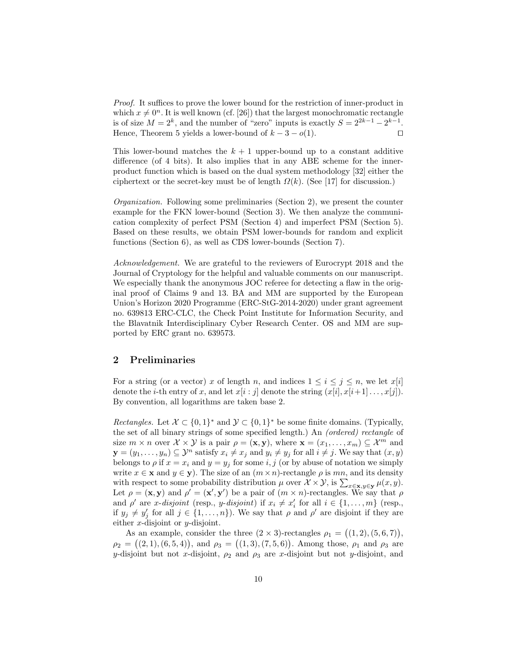Proof. It suffices to prove the lower bound for the restriction of inner-product in which  $x \neq 0^n$ . It is well known (cf. [26]) that the largest monochromatic rectangle is of size  $M = 2^k$ , and the number of "zero" inputs is exactly  $S = 2^{2k-1} - 2^{k-1}$ . Hence, Theorem 5 yields a lower-bound of  $k - 3 - o(1)$ .

This lower-bound matches the  $k + 1$  upper-bound up to a constant additive difference (of 4 bits). It also implies that in any ABE scheme for the innerproduct function which is based on the dual system methodology [32] either the ciphertext or the secret-key must be of length  $\Omega(k)$ . (See [17] for discussion.)

Organization. Following some preliminaries (Section 2), we present the counter example for the FKN lower-bound (Section 3). We then analyze the communication complexity of perfect PSM (Section 4) and imperfect PSM (Section 5). Based on these results, we obtain PSM lower-bounds for random and explicit functions (Section 6), as well as CDS lower-bounds (Section 7).

Acknowledgement. We are grateful to the reviewers of Eurocrypt 2018 and the Journal of Cryptology for the helpful and valuable comments on our manuscript. We especially thank the anonymous JOC referee for detecting a flaw in the original proof of Claims 9 and 13. BA and MM are supported by the European Union's Horizon 2020 Programme (ERC-StG-2014-2020) under grant agreement no. 639813 ERC-CLC, the Check Point Institute for Information Security, and the Blavatnik Interdisciplinary Cyber Research Center. OS and MM are supported by ERC grant no. 639573.

# 2 Preliminaries

For a string (or a vector) x of length n, and indices  $1 \leq i \leq j \leq n$ , we let  $x[i]$ denote the *i*-th entry of x, and let  $x[i : j]$  denote the string  $(x[i], x[i+1], \ldots, x[j])$ . By convention, all logarithms are taken base 2.

Rectangles. Let  $X \subset \{0,1\}^*$  and  $\mathcal{Y} \subset \{0,1\}^*$  be some finite domains. (Typically, the set of all binary strings of some specified length.) An (ordered) rectangle of size  $m \times n$  over  $\mathcal{X} \times \mathcal{Y}$  is a pair  $\rho = (\mathbf{x}, \mathbf{y})$ , where  $\mathbf{x} = (x_1, \dots, x_m) \subseteq \mathcal{X}^m$  and  $\mathbf{y} = (y_1, \ldots, y_n) \subseteq \mathcal{Y}^n$  satisfy  $x_i \neq x_j$  and  $y_i \neq y_j$  for all  $i \neq j$ . We say that  $(x, y)$ belongs to  $\rho$  if  $x = x_i$  and  $y = y_j$  for some i, j (or by abuse of notation we simply write  $x \in \mathbf{x}$  and  $y \in \mathbf{y}$ . The size of an  $(m \times n)$ -rectangle  $\rho$  is  $mn$ , and its density with respect to some probability distribution  $\mu$  over  $\mathcal{X} \times \mathcal{Y}$ , is  $\sum_{x \in \mathbf{x}, y \in \mathbf{y}} \mu(x, y)$ . Let  $\rho = (\mathbf{x}, \mathbf{y})$  and  $\rho' = (\mathbf{x}', \mathbf{y}')$  be a pair of  $(m \times n)$ -rectangles. We say that  $\rho$ and  $\rho'$  are x-disjoint (resp., y-disjoint) if  $x_i \neq x'_i$  for all  $i \in \{1, ..., m\}$  (resp., if  $y_j \neq y'_j$  for all  $j \in \{1, \ldots, n\}$ . We say that  $\rho$  and  $\rho'$  are disjoint if they are either  $x$ -disjoint or  $y$ -disjoint.

As an example, consider the three  $(2 \times 3)$ -rectangles  $\rho_1 = ((1, 2), (5, 6, 7)),$  $\rho_2 = ((2,1),(6,5,4)),$  and  $\rho_3 = ((1,3),(7,5,6)).$  Among those,  $\rho_1$  and  $\rho_3$  are y-disjoint but not x-disjoint,  $\rho_2$  and  $\rho_3$  are x-disjoint but not y-disjoint, and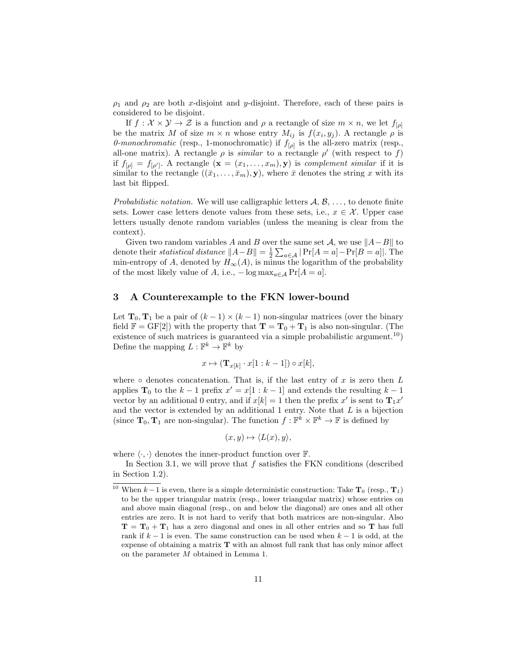$\rho_1$  and  $\rho_2$  are both x-disjoint and y-disjoint. Therefore, each of these pairs is considered to be disjoint.

If  $f: \mathcal{X} \times \mathcal{Y} \to \mathcal{Z}$  is a function and  $\rho$  a rectangle of size  $m \times n$ , we let  $f_{[\rho]}$ be the matrix M of size  $m \times n$  whose entry  $M_{ij}$  is  $f(x_i, y_j)$ . A rectangle  $\rho$  is 0-monochromatic (resp., 1-monochromatic) if  $f_{[\rho]}$  is the all-zero matrix (resp., all-one matrix). A rectangle  $\rho$  is *similar* to a rectangle  $\rho'$  (with respect to f) if  $f_{[\rho]} = f_{[\rho']}$ . A rectangle  $(\mathbf{x} = (x_1, \ldots, x_m), \mathbf{y})$  is complement similar if it is similar to the rectangle  $((\bar{x}_1, \ldots, \bar{x}_m), \mathbf{y})$ , where  $\bar{x}$  denotes the string x with its last bit flipped.

Probabilistic notation. We will use calligraphic letters  $A, B, \ldots$ , to denote finite sets. Lower case letters denote values from these sets, i.e.,  $x \in \mathcal{X}$ . Upper case letters usually denote random variables (unless the meaning is clear from the context).

Given two random variables A and B over the same set A, we use  $||A-B||$  to denote their *statistical distance*  $||A-B|| = \frac{1}{2} \sum_{a \in A} |Pr[A = a] - Pr[B = a]|$ . The min-entropy of A, denoted by  $H_{\infty}(A)$ , is minus the logarithm of the probability of the most likely value of A, i.e.,  $-\log \max_{a \in \mathcal{A}} \Pr[A = a]$ .

# 3 A Counterexample to the FKN lower-bound

Let  $\mathbf{T}_0$ ,  $\mathbf{T}_1$  be a pair of  $(k-1) \times (k-1)$  non-singular matrices (over the binary field  $\mathbb{F} = \text{GF}[2]$ ) with the property that  $\mathbf{T} = \mathbf{T}_0 + \mathbf{T}_1$  is also non-singular. (The existence of such matrices is guaranteed via a simple probabilistic argument.<sup>10</sup>) Define the mapping  $L: \mathbb{F}^k \to \mathbb{F}^k$  by

$$
x \mapsto (\mathbf{T}_{x[k]} \cdot x[1:k-1]) \circ x[k],
$$

where  $\circ$  denotes concatenation. That is, if the last entry of x is zero then L applies  $\mathbf{T}_0$  to the  $k-1$  prefix  $x' = x[1 : k-1]$  and extends the resulting  $k-1$ vector by an additional 0 entry, and if  $x[k] = 1$  then the prefix  $x'$  is sent to  $\mathbf{T}_1 x'$ and the vector is extended by an additional 1 entry. Note that  $L$  is a bijection (since  $\mathbf{T}_0, \mathbf{T}_1$  are non-singular). The function  $f : \mathbb{F}^k \times \mathbb{F}^k \to \mathbb{F}$  is defined by

$$
(x, y) \mapsto \langle L(x), y \rangle,
$$

where  $\langle \cdot, \cdot \rangle$  denotes the inner-product function over  $\mathbb{F}$ .

In Section 3.1, we will prove that  $f$  satisfies the FKN conditions (described in Section 1.2).

<sup>&</sup>lt;sup>10</sup> When  $k-1$  is even, there is a simple deterministic construction: Take  $\mathbf{T}_0$  (resp.,  $\mathbf{T}_1$ ) to be the upper triangular matrix (resp., lower triangular matrix) whose entries on and above main diagonal (resp., on and below the diagonal) are ones and all other entries are zero. It is not hard to verify that both matrices are non-singular. Also  $T = T_0 + T_1$  has a zero diagonal and ones in all other entries and so T has full rank if  $k - 1$  is even. The same construction can be used when  $k - 1$  is odd, at the expense of obtaining a matrix T with an almost full rank that has only minor affect on the parameter M obtained in Lemma 1.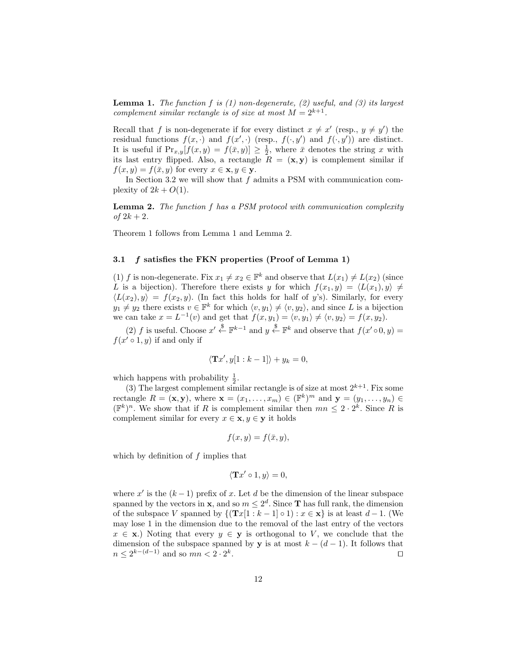**Lemma 1.** The function  $f$  is  $(1)$  non-degenerate,  $(2)$  useful, and  $(3)$  its largest complement similar rectangle is of size at most  $M = 2^{k+1}$ .

Recall that f is non-degenerate if for every distinct  $x \neq x'$  (resp.,  $y \neq y'$ ) the residual functions  $f(x, \cdot)$  and  $f(x', \cdot)$  (resp.,  $f(\cdot, y')$  and  $f(\cdot, y')$ ) are distinct. It is useful if  $Pr_{x,y}[f(x,y) = f(\bar{x}, y)] \geq \frac{1}{2}$ , where  $\bar{x}$  denotes the string x with its last entry flipped. Also, a rectangle  $R = (\mathbf{x}, \mathbf{y})$  is complement similar if  $f(x, y) = f(\bar{x}, y)$  for every  $x \in \mathbf{x}, y \in \mathbf{y}$ .

In Section 3.2 we will show that  $f$  admits a PSM with communication complexity of  $2k + O(1)$ .

Lemma 2. The function f has a PSM protocol with communication complexity  $of 2k + 2.$ 

Theorem 1 follows from Lemma 1 and Lemma 2.

### 3.1 f satisfies the FKN properties (Proof of Lemma 1)

(1) f is non-degenerate. Fix  $x_1 \neq x_2 \in \mathbb{F}^k$  and observe that  $L(x_1) \neq L(x_2)$  (since L is a bijection). Therefore there exists y for which  $f(x_1, y) = \langle L(x_1), y \rangle \neq 0$  $\langle L(x_2), y \rangle = f(x_2, y)$ . (In fact this holds for half of y's). Similarly, for every  $y_1 \neq y_2$  there exists  $v \in \mathbb{F}^k$  for which  $\langle v, y_1 \rangle \neq \langle v, y_2 \rangle$ , and since L is a bijection we can take  $x = L^{-1}(v)$  and get that  $f(x, y_1) = \langle v, y_1 \rangle \neq \langle v, y_2 \rangle = f(x, y_2)$ .

(2) f is useful. Choose  $x' \stackrel{\$}{\leftarrow} \mathbb{F}^{k-1}$  and  $y \stackrel{\$}{\leftarrow} \mathbb{F}^k$  and observe that  $f(x' \circ 0, y) =$  $f(x' \circ 1, y)$  if and only if

$$
\langle \mathbf{T}x', y[1:k-1] \rangle + y_k = 0,
$$

which happens with probability  $\frac{1}{2}$ .

(3) The largest complement similar rectangle is of size at most  $2^{k+1}$ . Fix some rectangle  $R = (\mathbf{x}, \mathbf{y})$ , where  $\mathbf{x} = (x_1, \dots, x_m) \in (\mathbb{F}^k)^m$  and  $\mathbf{y} = (y_1, \dots, y_n) \in$  $(\mathbb{F}^k)^n$ . We show that if R is complement similar then  $mn \leq 2 \cdot 2^k$ . Since R is complement similar for every  $x \in \mathbf{x}, y \in \mathbf{y}$  it holds

$$
f(x, y) = f(\bar{x}, y),
$$

which by definition of  $f$  implies that

$$
\langle \mathbf{T}x' \circ 1, y \rangle = 0,
$$

where x' is the  $(k-1)$  prefix of x. Let d be the dimension of the linear subspace spanned by the vectors in **x**, and so  $m \leq 2^d$ . Since **T** has full rank, the dimension of the subspace V spanned by  $\{(\mathbf{T}x[1:k-1] \circ 1) : x \in \mathbf{x}\}\)$  is at least  $d-1$ . (We may lose 1 in the dimension due to the removal of the last entry of the vectors  $x \in \mathbf{x}$ .) Noting that every  $y \in \mathbf{y}$  is orthogonal to V, we conclude that the dimension of the subspace spanned by y is at most  $k - (d - 1)$ . It follows that  $n \leq 2^{k-(d-1)}$  and so  $mn < 2 \cdot 2^k$ . The contract of the contract of the contract of the contract of the contract of the contract of the contract of the contract of the contract of the contract of the contract of the contract of the contract of the contract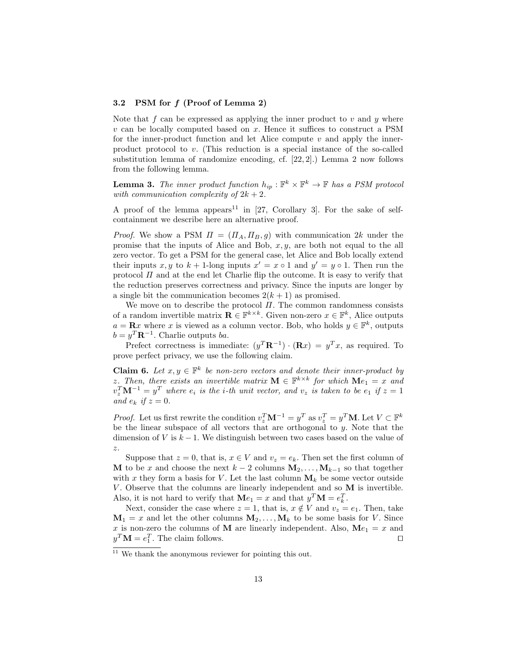#### 3.2 PSM for f (Proof of Lemma 2)

Note that  $f$  can be expressed as applying the inner product to  $v$  and  $y$  where  $v$  can be locally computed based on  $x$ . Hence it suffices to construct a PSM for the inner-product function and let Alice compute  $v$  and apply the innerproduct protocol to  $v$ . (This reduction is a special instance of the so-called substitution lemma of randomize encoding, cf. [22, 2].) Lemma 2 now follows from the following lemma.

**Lemma 3.** The inner product function  $h_{ip} : \mathbb{F}^k \times \mathbb{F}^k \to \mathbb{F}$  has a PSM protocol with communication complexity of  $2k + 2$ .

A proof of the lemma appears<sup>11</sup> in [27, Corollary 3]. For the sake of selfcontainment we describe here an alternative proof.

*Proof.* We show a PSM  $\Pi = (\Pi_A, \Pi_B, g)$  with communication 2k under the promise that the inputs of Alice and Bob,  $x, y$ , are both not equal to the all zero vector. To get a PSM for the general case, let Alice and Bob locally extend their inputs x, y to  $k + 1$ -long inputs  $x' = x \circ 1$  and  $y' = y \circ 1$ . Then run the protocol  $\Pi$  and at the end let Charlie flip the outcome. It is easy to verify that the reduction preserves correctness and privacy. Since the inputs are longer by a single bit the communication becomes  $2(k+1)$  as promised.

We move on to describe the protocol  $\Pi$ . The common randomness consists of a random invertible matrix  $\mathbf{R} \in \mathbb{F}^{k \times k}$ . Given non-zero  $x \in \mathbb{F}^k$ , Alice outputs  $a = \mathbf{R}x$  where x is viewed as a column vector. Bob, who holds  $y \in \mathbb{F}^k$ , outputs  $b = y^T \mathbf{R}^{-1}$ . Charlie outputs ba.

Prefect correctness is immediate:  $(y^T \mathbf{R}^{-1}) \cdot (\mathbf{R}x) = y^T x$ , as required. To prove perfect privacy, we use the following claim.

**Claim 6.** Let  $x, y \in \mathbb{F}^k$  be non-zero vectors and denote their inner-product by z. Then, there exists an invertible matrix  $\mathbf{M} \in \mathbb{F}^{k \times k}$  for which  $\mathbf{M}e_1 = x$  and  $v_z^T \mathbf{M}^{-1} = y^T$  where  $e_i$  is the i-th unit vector, and  $v_z$  is taken to be  $e_1$  if  $z = 1$ and  $e_k$  if  $z = 0$ .

*Proof.* Let us first rewrite the condition  $v_z^T \mathbf{M}^{-1} = y^T$  as  $v_z^T = y^T \mathbf{M}$ . Let  $V \subset \mathbb{F}^k$ be the linear subspace of all vectors that are orthogonal to  $y$ . Note that the dimension of V is  $k - 1$ . We distinguish between two cases based on the value of z.

Suppose that  $z = 0$ , that is,  $x \in V$  and  $v_z = e_k$ . Then set the first column of M to be x and choose the next  $k-2$  columns  $M_2, \ldots, M_{k-1}$  so that together with x they form a basis for V. Let the last column  $M_k$  be some vector outside  $V$ . Observe that the columns are linearly independent and so  $M$  is invertible. Also, it is not hard to verify that  $\mathbf{M}e_1 = x$  and that  $y^T \mathbf{M} = e_k^T$ .

Next, consider the case where  $z = 1$ , that is,  $x \notin V$  and  $v_z = e_1$ . Then, take  $M_1 = x$  and let the other columns  $M_2, \ldots, M_k$  to be some basis for V. Since x is non-zero the columns of M are linearly independent. Also,  $Me<sub>1</sub> = x$  and  $y^T \mathbf{M} = e_1^T$ . The claim follows.

 $11$  We thank the anonymous reviewer for pointing this out.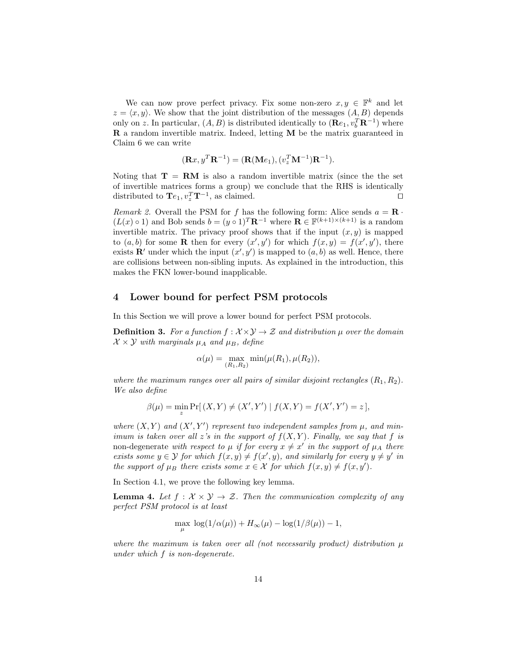We can now prove perfect privacy. Fix some non-zero  $x, y \in \mathbb{F}^k$  and let  $z = \langle x, y \rangle$ . We show that the joint distribution of the messages  $(A, B)$  depends only on z. In particular,  $(A, B)$  is distributed identically to  $(\mathbf{R}e_1, v_b^T \mathbf{R}^{-1})$  where R a random invertible matrix. Indeed, letting M be the matrix guaranteed in Claim 6 we can write

$$
(\mathbf{R}x, y^T \mathbf{R}^{-1}) = (\mathbf{R}(\mathbf{M}e_1), (v_z^T \mathbf{M}^{-1}) \mathbf{R}^{-1}).
$$

Noting that  $T = RM$  is also a random invertible matrix (since the set of invertible matrices forms a group) we conclude that the RHS is identically distributed to  $\mathbf{T}e_1, v_\text{z}^T \mathbf{T}^{-1}$ , as claimed.

Remark 2. Overall the PSM for f has the following form: Alice sends  $a = \mathbf{R} \cdot$  $(L(x) \circ 1)$  and Bob sends  $b = (y \circ 1)^T \mathbf{R}^{-1}$  where  $\mathbf{R} \in \mathbb{F}^{(k+1)\times (k+1)}$  is a random invertible matrix. The privacy proof shows that if the input  $(x, y)$  is mapped to  $(a, b)$  for some **R** then for every  $(x', y')$  for which  $f(x, y) = f(x', y')$ , there exists  $\mathbf{R}'$  under which the input  $(x', y')$  is mapped to  $(a, b)$  as well. Hence, there are collisions between non-sibling inputs. As explained in the introduction, this makes the FKN lower-bound inapplicable.

## 4 Lower bound for perfect PSM protocols

In this Section we will prove a lower bound for perfect PSM protocols.

**Definition 3.** For a function  $f : \mathcal{X} \times \mathcal{Y} \rightarrow \mathcal{Z}$  and distribution  $\mu$  over the domain  $X \times Y$  with marginals  $\mu_A$  and  $\mu_B$ , define

$$
\alpha(\mu) = \max_{(R_1, R_2)} \min(\mu(R_1), \mu(R_2)),
$$

where the maximum ranges over all pairs of similar disjoint rectangles  $(R_1, R_2)$ . We also define

$$
\beta(\mu) = \min_{z} \Pr[(X, Y) \neq (X', Y') \mid f(X, Y) = f(X', Y') = z],
$$

where  $(X, Y)$  and  $(X', Y')$  represent two independent samples from  $\mu$ , and minimum is taken over all z's in the support of  $f(X, Y)$ . Finally, we say that f is non-degenerate with respect to  $\mu$  if for every  $x \neq x'$  in the support of  $\mu_A$  there exists some  $y \in Y$  for which  $f(x, y) \neq f(x', y)$ , and similarly for every  $y \neq y'$  in the support of  $\mu_B$  there exists some  $x \in \mathcal{X}$  for which  $f(x, y) \neq f(x, y')$ .

In Section 4.1, we prove the following key lemma.

**Lemma 4.** Let  $f : \mathcal{X} \times \mathcal{Y} \rightarrow \mathcal{Z}$ . Then the communication complexity of any perfect PSM protocol is at least

$$
\max_{\mu} \log(1/\alpha(\mu)) + H_{\infty}(\mu) - \log(1/\beta(\mu)) - 1,
$$

where the maximum is taken over all (not necessarily product) distribution  $\mu$ under which f is non-degenerate.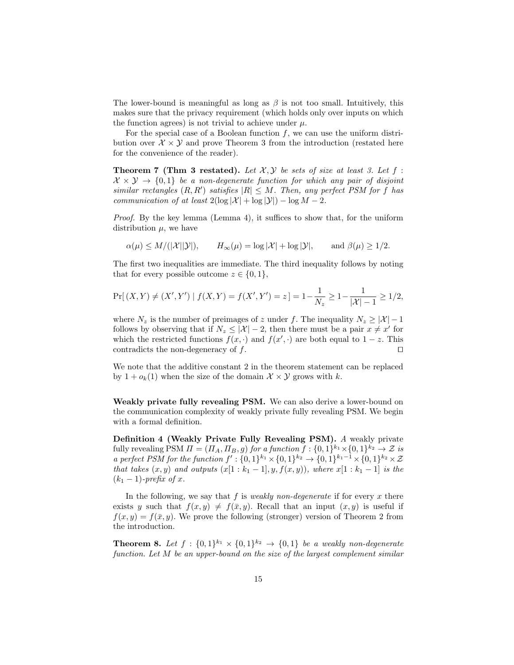The lower-bound is meaningful as long as  $\beta$  is not too small. Intuitively, this makes sure that the privacy requirement (which holds only over inputs on which the function agrees) is not trivial to achieve under  $\mu$ .

For the special case of a Boolean function  $f$ , we can use the uniform distribution over  $\mathcal{X} \times \mathcal{Y}$  and prove Theorem 3 from the introduction (restated here for the convenience of the reader).

**Theorem 7 (Thm 3 restated).** Let  $\mathcal{X}, \mathcal{Y}$  be sets of size at least 3. Let  $f$ :  $X \times Y \rightarrow \{0, 1\}$  be a non-degenerate function for which any pair of disjoint similar rectangles  $(R, R')$  satisfies  $|R| \leq M$ . Then, any perfect PSM for f has communication of at least  $2(\log |\mathcal{X}| + \log |\mathcal{Y}|) - \log M - 2$ .

Proof. By the key lemma (Lemma 4), it suffices to show that, for the uniform distribution  $\mu$ , we have

$$
\alpha(\mu) \le M/(|\mathcal{X}||\mathcal{Y}|),
$$
  $H_{\infty}(\mu) = \log |\mathcal{X}| + \log |\mathcal{Y}|,$  and  $\beta(\mu) \ge 1/2.$ 

The first two inequalities are immediate. The third inequality follows by noting that for every possible outcome  $z \in \{0,1\},\$ 

$$
\Pr[(X,Y) \neq (X',Y') | f(X,Y) = f(X',Y') = z] = 1 - \frac{1}{N_z} \geq 1 - \frac{1}{|\mathcal{X}| - 1} \geq 1/2,
$$

where  $N_z$  is the number of preimages of z under f. The inequality  $N_z \geq |\mathcal{X}|-1$ follows by observing that if  $N_z \le |\mathcal{X}| - 2$ , then there must be a pair  $x \ne x'$  for which the restricted functions  $f(x, \cdot)$  and  $f(x', \cdot)$  are both equal to  $1 - z$ . This contradicts the non-degeneracy of  $f$ .

We note that the additive constant 2 in the theorem statement can be replaced by  $1 + o_k(1)$  when the size of the domain  $\mathcal{X} \times \mathcal{Y}$  grows with k.

Weakly private fully revealing PSM. We can also derive a lower-bound on the communication complexity of weakly private fully revealing PSM. We begin with a formal definition.

Definition 4 (Weakly Private Fully Revealing PSM). A weakly private fully revealing PSM  $\Pi = (\Pi_A, \Pi_B, g)$  for a function  $f: \{0,1\}^{k_1} \times \{0,1\}^{k_2} \rightarrow \mathcal{Z}$  is a perfect PSM for the function  $f': \{0,1\}^{k_1} \times \{0,1\}^{k_2} \to \{0,1\}^{k_1-1} \times \{0,1\}^{k_2} \times \mathcal{Z}$ that takes  $(x, y)$  and outputs  $(x[1 : k_1 - 1], y, f(x, y))$ , where  $x[1 : k_1 - 1]$  is the  $(k_1 - 1)$ -prefix of x.

In the following, we say that f is *weakly non-degenerate* if for every  $x$  there exists y such that  $f(x, y) \neq f(\bar{x}, y)$ . Recall that an input  $(x, y)$  is useful if  $f(x, y) = f(\bar{x}, y)$ . We prove the following (stronger) version of Theorem 2 from the introduction.

**Theorem 8.** Let  $f : \{0,1\}^{k_1} \times \{0,1\}^{k_2} \rightarrow \{0,1\}$  be a weakly non-degenerate function. Let M be an upper-bound on the size of the largest complement similar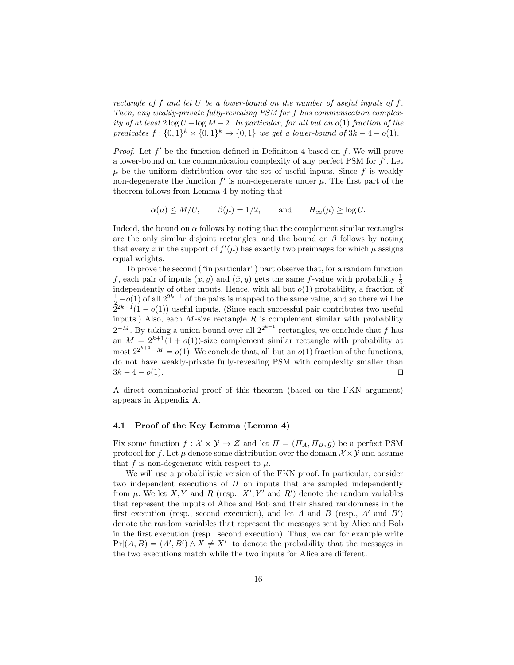rectangle of f and let U be a lower-bound on the number of useful inputs of f. Then, any weakly-private fully-revealing PSM for f has communication complexity of at least  $2 \log U - \log M - 2$ . In particular, for all but an o(1) fraction of the predicates  $f: \{0,1\}^k \times \{0,1\}^k \rightarrow \{0,1\}$  we get a lower-bound of  $3k-4-o(1)$ .

*Proof.* Let  $f'$  be the function defined in Definition 4 based on  $f$ . We will prove a lower-bound on the communication complexity of any perfect PSM for  $f'$ . Let  $\mu$  be the uniform distribution over the set of useful inputs. Since f is weakly non-degenerate the function  $f'$  is non-degenerate under  $\mu$ . The first part of the theorem follows from Lemma 4 by noting that

$$
\alpha(\mu) \le M/U
$$
,  $\beta(\mu) = 1/2$ , and  $H_{\infty}(\mu) \ge \log U$ .

Indeed, the bound on  $\alpha$  follows by noting that the complement similar rectangles are the only similar disjoint rectangles, and the bound on  $\beta$  follows by noting that every z in the support of  $f'(\mu)$  has exactly two preimages for which  $\mu$  assigns equal weights.

To prove the second ("in particular") part observe that, for a random function f, each pair of inputs  $(x, y)$  and  $(\bar{x}, y)$  gets the same f-value with probability  $\frac{1}{2}$ independently of other inputs. Hence, with all but  $o(1)$  probability, a fraction of  $\frac{1}{2}$  −o(1) of all  $2^{2k-1}$  of the pairs is mapped to the same value, and so there will be  $\tilde{2}^{2k-1}(1-o(1))$  useful inputs. (Since each successful pair contributes two useful inputs.) Also, each  $M$ -size rectangle  $R$  is complement similar with probability  $2^{-M}$ . By taking a union bound over all  $2^{2^{k+1}}$  rectangles, we conclude that f has an  $M = 2^{k+1}(1+o(1))$ -size complement similar rectangle with probability at most  $2^{2^{k+1}-M} = o(1)$ . We conclude that, all but an  $o(1)$  fraction of the functions, do not have weakly-private fully-revealing PSM with complexity smaller than  $3k - 4 - o(1)$ .

A direct combinatorial proof of this theorem (based on the FKN argument) appears in Appendix A.

#### 4.1 Proof of the Key Lemma (Lemma 4)

Fix some function  $f: \mathcal{X} \times \mathcal{Y} \to \mathcal{Z}$  and let  $\Pi = (\Pi_A, \Pi_B, g)$  be a perfect PSM protocol for f. Let  $\mu$  denote some distribution over the domain  $\mathcal{X} \times \mathcal{Y}$  and assume that f is non-degenerate with respect to  $\mu$ .

We will use a probabilistic version of the FKN proof. In particular, consider two independent executions of  $\Pi$  on inputs that are sampled independently from  $\mu$ . We let X, Y and R (resp., X', Y' and R') denote the random variables that represent the inputs of Alice and Bob and their shared randomness in the first execution (resp., second execution), and let  $A$  and  $B$  (resp.,  $A'$  and  $B'$ ) denote the random variables that represent the messages sent by Alice and Bob in the first execution (resp., second execution). Thus, we can for example write  $Pr[(A, B) = (A', B') \wedge X \neq X']$  to denote the probability that the messages in the two executions match while the two inputs for Alice are different.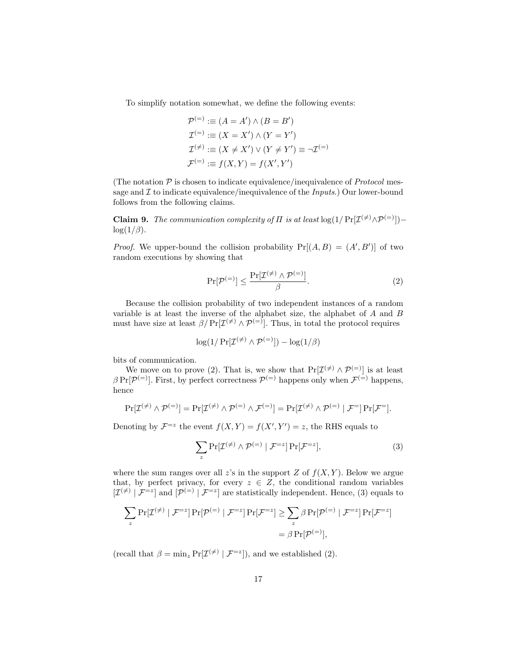To simplify notation somewhat, we define the following events:

$$
\mathcal{P}^{(=)} := (A = A') \land (B = B')
$$
  
\n
$$
\mathcal{I}^{(=)} := (X = X') \land (Y = Y')
$$
  
\n
$$
\mathcal{I}^{(\neq)} := (X \neq X') \lor (Y \neq Y') \equiv \neg \mathcal{I}^{(=)}
$$
  
\n
$$
\mathcal{F}^{(=)} := f(X, Y) = f(X', Y')
$$

(The notation  $P$  is chosen to indicate equivalence/inequivalence of *Protocol* message and  $\mathcal I$  to indicate equivalence/inequivalence of the *Inputs*.) Our lower-bound follows from the following claims.

**Claim 9.** The communication complexity of  $\Pi$  is at least  $\log(1/\Pr[\mathcal{I}^{(\neq)} \wedge \mathcal{P}^{(=)}])$  $\log(1/\beta)$ .

*Proof.* We upper-bound the collision probability  $Pr[(A, B) = (A', B')]$  of two random executions by showing that

$$
\Pr[\mathcal{P}^{(=)}] \le \frac{\Pr[\mathcal{I}^{(\ne)} \land \mathcal{P}^{(=)}]}{\beta}.
$$
 (2)

Because the collision probability of two independent instances of a random variable is at least the inverse of the alphabet size, the alphabet of A and B must have size at least  $\beta$ /Pr $[\mathcal{I}^{(\neq)} \wedge \mathcal{P}^{(=)}]$ . Thus, in total the protocol requires

$$
\log(1/\Pr[\mathcal{I}^{(\neq)} \wedge \mathcal{P}^{(=)}]) - \log(1/\beta)
$$

bits of communication.

We move on to prove (2). That is, we show that  $Pr[\mathcal{I}^{(\neq)} \wedge \mathcal{P}^{(=\circ)}]$  is at least  $\beta \Pr[\mathcal{P}^{(=)}]$ . First, by perfect correctness  $\mathcal{P}^{(=)}$  happens only when  $\mathcal{F}^{(=)}$  happens, hence

$$
\Pr[\mathcal{I}^{(\neq)}\wedge\mathcal{P}^{(=)}]=\Pr[\mathcal{I}^{(\neq)}\wedge\mathcal{P}^{(=)}\wedge\mathcal{F}^{(=)}]=\Pr[\mathcal{I}^{(\neq)}\wedge\mathcal{P}^{(=)}\mid\mathcal{F}^{=}]\Pr[\mathcal{F}^{=}].
$$

Denoting by  $\mathcal{F}^{-z}$  the event  $f(X,Y) = f(X',Y') = z$ , the RHS equals to

$$
\sum_{z} \Pr[\mathcal{I}^{(\neq)} \wedge \mathcal{P}^{(=)} | \mathcal{F}^{=z}] \Pr[\mathcal{F}^{=z}], \tag{3}
$$

where the sum ranges over all z's in the support Z of  $f(X, Y)$ . Below we argue that, by perfect privacy, for every  $z \in Z$ , the conditional random variables  $[\mathcal{I}^{(\neq)} | \mathcal{F}^{=z}]$  and  $[\mathcal{P}^{(=)} | \mathcal{F}^{=z}]$  are statistically independent. Hence, (3) equals to

$$
\sum_{z} \Pr[\mathcal{I}^{(\neq)} | \mathcal{F}^{=z}] \Pr[\mathcal{P}^{(=)} | \mathcal{F}^{=z}] \Pr[\mathcal{F}^{=z}] \ge \sum_{z} \beta \Pr[\mathcal{P}^{(=)} | \mathcal{F}^{=z}] \Pr[\mathcal{F}^{=z}]
$$

$$
= \beta \Pr[\mathcal{P}^{(=)}],
$$

(recall that  $\beta = \min_z \Pr[\mathcal{I}^{(\neq)} | \mathcal{F}^{=z}]\)$ , and we established (2).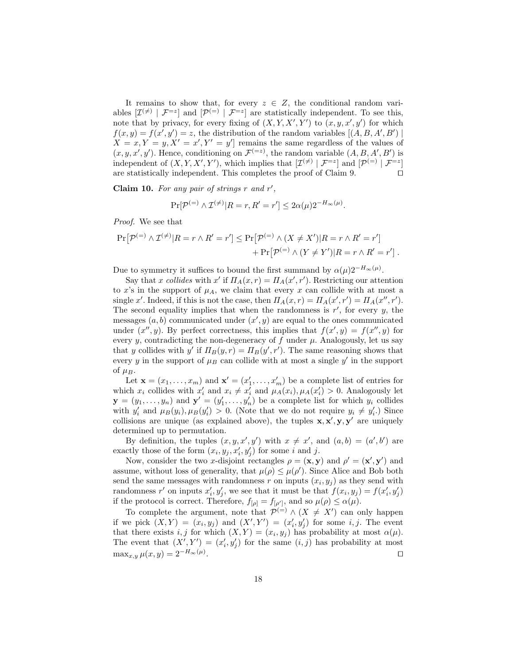It remains to show that, for every  $z \in Z$ , the conditional random variables  $[\mathcal{I}^{(\neq)} | \mathcal{F}^{=z}]$  and  $[\mathcal{P}^{(=)} | \mathcal{F}^{=z}]$  are statistically independent. To see this, note that by privacy, for every fixing of  $(X, Y, X', Y')$  to  $(x, y, x', y')$  for which  $f(x,y) = f(x', y') = z$ , the distribution of the random variables  $[(A, B, A', B')]$  $X = x, Y = y, X' = x', Y' = y'$  remains the same regardless of the values of  $(x, y, x', y')$ . Hence, conditioning on  $\mathcal{F}^{(=}z)$ , the random variable  $(A, B, A', B')$  is independent of  $(X, Y, X', Y')$ , which implies that  $[\mathcal{I}^{(\neq)} | \mathcal{F}^{=z}]$  and  $[\mathcal{P}^{(=)} | \mathcal{F}^{=z}]$ are statistically independent. This completes the proof of Claim 9.  $\Box$ 

Claim 10. For any pair of strings  $r$  and  $r'$ ,

$$
\Pr[\mathcal{P}^{(=)} \wedge \mathcal{I}^{(\neq)} | R = r, R' = r'] \le 2\alpha(\mu)2^{-H_{\infty}(\mu)}.
$$

Proof. We see that

$$
\Pr[\mathcal{P}^{(=)} \wedge \mathcal{I}^{(\neq)} | R = r \wedge R' = r'] \le \Pr[\mathcal{P}^{(=)} \wedge (X \neq X') | R = r \wedge R' = r'] + \Pr[\mathcal{P}^{(=)} \wedge (Y \neq Y') | R = r \wedge R' = r'] .
$$

Due to symmetry it suffices to bound the first summand by  $\alpha(\mu)2^{-H_{\infty}(\mu)}$ .

Say that x collides with x' if  $\Pi_A(x,r) = \Pi_A(x',r')$ . Restricting our attention to x's in the support of  $\mu_A$ , we claim that every x can collide with at most a single x'. Indeed, if this is not the case, then  $\Pi_A(x,r) = \Pi_A(x',r') = \Pi_A(x'',r')$ . The second equality implies that when the randomness is  $r'$ , for every  $y$ , the messages  $(a, b)$  communicated under  $(x', y)$  are equal to the ones communicated under  $(x'', y)$ . By perfect correctness, this implies that  $f(x', y) = f(x'', y)$  for every y, contradicting the non-degeneracy of f under  $\mu$ . Analogously, let us say that y collides with y' if  $\Pi_B(y, r) = \Pi_B(y', r')$ . The same reasoning shows that every y in the support of  $\mu_B$  can collide with at most a single y' in the support of  $\mu_B$ .

Let  $\mathbf{x} = (x_1, \dots, x_m)$  and  $\mathbf{x}' = (x'_1, \dots, x'_m)$  be a complete list of entries for which  $x_i$  collides with  $x'_i$  and  $x_i \neq x'_i$  and  $\mu_A(x_i), \mu_A(x'_i) > 0$ . Analogously let  $\mathbf{y} = (y_1, \dots, y_n)$  and  $\mathbf{y}' = (y'_1, \dots, y'_n)$  be a complete list for which  $y_i$  collides with  $y'_i$  and  $\mu_B(y_i), \mu_B(y'_i) > 0$ . (Note that we do not require  $y_i \neq y'_i$ .) Since collisions are unique (as explained above), the tuples  $x, x', y, y'$  are uniquely determined up to permutation.

By definition, the tuples  $(x, y, x', y')$  with  $x \neq x'$ , and  $(a, b) = (a', b')$  are exactly those of the form  $(x_i, y_j, x'_i, y'_j)$  for some i and j.

Now, consider the two x-disjoint rectangles  $\rho = (\mathbf{x}, \mathbf{y})$  and  $\rho' = (\mathbf{x}', \mathbf{y}')$  and assume, without loss of generality, that  $\mu(\rho) \leq \mu(\rho')$ . Since Alice and Bob both send the same messages with randomness r on inputs  $(x_i, y_j)$  as they send with randomness r' on inputs  $x'_i, y'_j$ , we see that it must be that  $f(x_i, y_j) = f(x'_i, y'_j)$ if the protocol is correct. Therefore,  $f_{[\rho]} = f_{[\rho']}$ , and so  $\mu(\rho) \le \alpha(\mu)$ .

To complete the argument, note that  $\mathcal{P}^{(=)} \wedge (X \neq X')$  can only happen if we pick  $(X,Y) = (x_i, y_j)$  and  $(X', Y') = (x'_i, y'_j)$  for some  $i, j$ . The event that there exists i, j for which  $(X, Y) = (x_i, y_j)$  has probability at most  $\alpha(\mu)$ . The event that  $(X', Y') = (x'_i, y'_j)$  for the same  $(i, j)$  has probability at most  $\max_{x,y} \mu(x,y) = 2^{-H_{\infty}(\mu)}$ . . The contract of the contract of the contract of the contract of the contract of the contract of the contract of the contract of the contract of the contract of the contract of the contract of the contract of the contract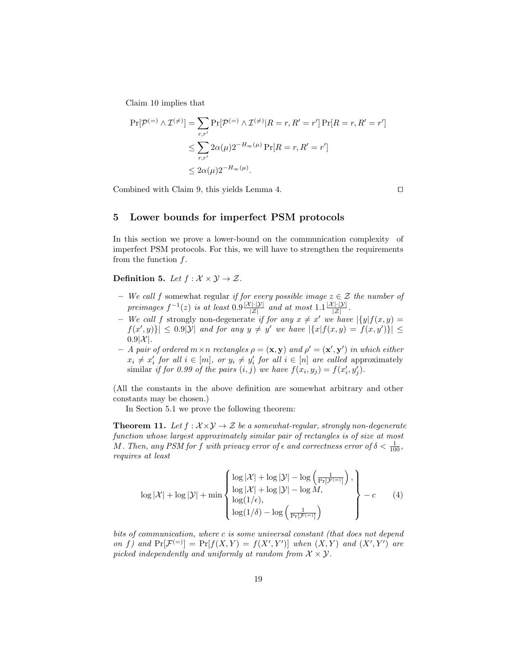Claim 10 implies that

$$
\Pr[\mathcal{P}^{(=)} \wedge \mathcal{I}^{(\neq)}] = \sum_{r,r'} \Pr[\mathcal{P}^{(=)} \wedge \mathcal{I}^{(\neq)} | R = r, R' = r'] \Pr[R = r, R' = r']
$$
  

$$
\leq \sum_{r,r'} 2\alpha(\mu) 2^{-H_{\infty}(\mu)} \Pr[R = r, R' = r']
$$
  

$$
\leq 2\alpha(\mu) 2^{-H_{\infty}(\mu)}.
$$

Combined with Claim 9, this yields Lemma 4.  $\Box$ 

# 5 Lower bounds for imperfect PSM protocols

In this section we prove a lower-bound on the communication complexity of imperfect PSM protocols. For this, we will have to strengthen the requirements from the function  $f$ .

Definition 5. Let  $f : \mathcal{X} \times \mathcal{Y} \to \mathcal{Z}$ .

- We call f somewhat regular if for every possible image  $z \in \mathcal{Z}$  the number of preimages  $f^{-1}(z)$  is at least  $0.9\frac{|\mathcal{X}|\cdot|\mathcal{Y}|}{|\mathcal{Z}|}$  and at most  $1.1\frac{|\mathcal{X}|\cdot|\mathcal{Y}|}{|\mathcal{Z}|}$ .
- We call f strongly non-degenerate if for any  $x \neq x'$  we have  $|\{y|f(x,y) =$  $|f(x', y)| \leq 0.9|\mathcal{Y}|$  and for any  $y \neq y'$  we have  $|\{x | f(x, y) = f(x, y')\}| \leq$  $0.9|\mathcal{X}|$ .
- $-$  A pair of ordered  $m \times n$  rectangles  $\rho = (\mathbf{x}, \mathbf{y})$  and  $\rho' = (\mathbf{x}', \mathbf{y}')$  in which either  $x_i \neq x'_i$  for all  $i \in [m]$ , or  $y_i \neq y'_i$  for all  $i \in [n]$  are called approximately similar if for 0.99 of the pairs  $(i, j)$  we have  $f(x_i, y_j) = f(x'_i, y'_j)$ .

(All the constants in the above definition are somewhat arbitrary and other constants may be chosen.)

In Section 5.1 we prove the following theorem:

**Theorem 11.** Let  $f : \mathcal{X} \times \mathcal{Y} \rightarrow \mathcal{Z}$  be a somewhat-regular, strongly non-degenerate function whose largest approximately similar pair of rectangles is of size at most M. Then, any PSM for f with privacy error of  $\epsilon$  and correctness error of  $\delta < \frac{1}{100}$ , requires at least

$$
\log |\mathcal{X}| + \log |\mathcal{Y}| + \min \left\{ \frac{\log |\mathcal{X}| + \log |\mathcal{Y}| - \log \left( \frac{1}{\Pr[\mathcal{F}^{(=)}]} \right),}{\log |\mathcal{X}| + \log |\mathcal{Y}| - \log M, \right\}} - c \qquad (4)
$$
  

$$
\log(1/\delta) - \log \left( \frac{1}{\Pr[\mathcal{F}^{(=)}]} \right)
$$

bits of communication, where c is some universal constant (that does not depend on f) and  $Pr[\mathcal{F}^{(=)}] = Pr[f(X, Y) = f(X', Y')]$  when  $(X, Y)$  and  $(X', Y')$  are picked independently and uniformly at random from  $\mathcal{X} \times \mathcal{Y}$ .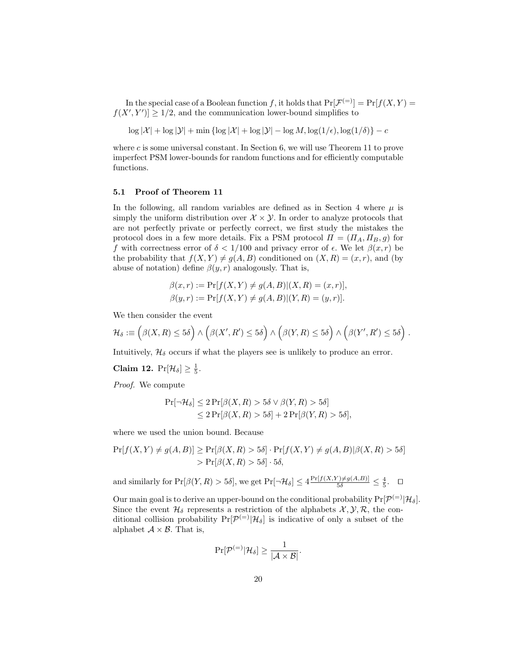In the special case of a Boolean function f, it holds that  $Pr[\mathcal{F}^{(=)}] = Pr[f(X, Y)]$  $f(X', Y') \geq 1/2$ , and the communication lower-bound simplifies to

 $\log |\mathcal{X}| + \log |\mathcal{Y}| + \min \left\{ \log |\mathcal{X}| + \log |\mathcal{Y}| - \log M, \log(1/\epsilon), \log(1/\delta) \right\} - c$ 

where  $c$  is some universal constant. In Section 6, we will use Theorem 11 to prove imperfect PSM lower-bounds for random functions and for efficiently computable functions.

#### 5.1 Proof of Theorem 11

In the following, all random variables are defined as in Section 4 where  $\mu$  is simply the uniform distribution over  $\mathcal{X} \times \mathcal{Y}$ . In order to analyze protocols that are not perfectly private or perfectly correct, we first study the mistakes the protocol does in a few more details. Fix a PSM protocol  $\Pi = (H_A, H_B, g)$  for f with correctness error of  $\delta < 1/100$  and privacy error of  $\epsilon$ . We let  $\beta(x, r)$  be the probability that  $f(X, Y) \neq g(A, B)$  conditioned on  $(X, R) = (x, r)$ , and (by abuse of notation) define  $\beta(y, r)$  analogously. That is,

$$
\beta(x, r) := \Pr[f(X, Y) \neq g(A, B)|(X, R) = (x, r)],
$$
  

$$
\beta(y, r) := \Pr[f(X, Y) \neq g(A, B)|(Y, R) = (y, r)].
$$

We then consider the event

$$
\mathcal{H}_{\delta} := \left(\beta(X,R) \leq 5\delta\right) \wedge \left(\beta(X',R') \leq 5\delta\right) \wedge \left(\beta(Y,R) \leq 5\delta\right) \wedge \left(\beta(Y',R') \leq 5\delta\right).
$$

Intuitively,  $\mathcal{H}_{\delta}$  occurs if what the players see is unlikely to produce an error.

Claim 12.  $Pr[\mathcal{H}_{\delta}] \geq \frac{1}{5}$ .

Proof. We compute

$$
\Pr[\neg \mathcal{H}_{\delta}] \le 2 \Pr[\beta(X, R) > 5\delta \lor \beta(Y, R) > 5\delta] \\
\le 2 \Pr[\beta(X, R) > 5\delta] + 2 \Pr[\beta(Y, R) > 5\delta],
$$

where we used the union bound. Because

$$
\Pr[f(X, Y) \neq g(A, B)] \geq \Pr[\beta(X, R) > 5\delta] \cdot \Pr[f(X, Y) \neq g(A, B)|\beta(X, R) > 5\delta]
$$
  
> 
$$
\Pr[\beta(X, R) > 5\delta] \cdot 5\delta,
$$

and similarly for  $Pr[\beta(Y, R) > 5\delta]$ , we get  $Pr[\neg \mathcal{H}_{\delta}] \leq 4 \frac{Pr[f(X, Y) \neq g(A, B)]}{5\delta} \leq \frac{4}{5}$ .  $\Box$ 

Our main goal is to derive an upper-bound on the conditional probability  $Pr[\mathcal{P}^{(=)}|\mathcal{H}_{\delta}]$ . Since the event  $\mathcal{H}_{\delta}$  represents a restriction of the alphabets  $\mathcal{X}, \mathcal{Y}, \mathcal{R}$ , the conditional collision probability  $Pr[\mathcal{P}^{(=)}|\mathcal{H}_{\delta}]$  is indicative of only a subset of the alphabet  $A \times B$ . That is,

$$
\Pr[\mathcal{P}^{(=)}|\mathcal{H}_\delta]\geq \frac{1}{|\mathcal{A}\times \mathcal{B}|}.
$$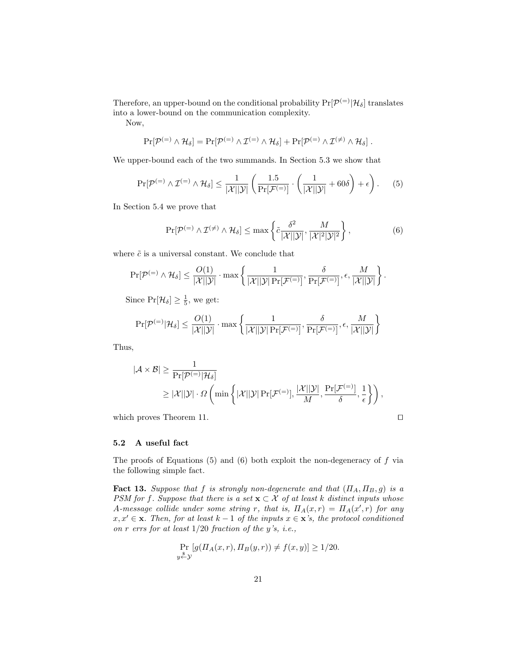Therefore, an upper-bound on the conditional probability  $Pr[\mathcal{P}^{(=)}|\mathcal{H}_{\delta}]$  translates into a lower-bound on the communication complexity.

Now,

$$
\Pr[\mathcal{P}^{(=)} \wedge \mathcal{H}_{\delta}] = \Pr[\mathcal{P}^{(=)} \wedge \mathcal{I}^{(=)} \wedge \mathcal{H}_{\delta}] + \Pr[\mathcal{P}^{(=)} \wedge \mathcal{I}^{(\neq)} \wedge \mathcal{H}_{\delta}] .
$$

We upper-bound each of the two summands. In Section 5.3 we show that

$$
\Pr[\mathcal{P}^{(=)} \wedge \mathcal{I}^{(=)} \wedge \mathcal{H}_{\delta}] \le \frac{1}{|\mathcal{X}||\mathcal{Y}|} \left( \frac{1.5}{\Pr[\mathcal{F}^{(=)}]} \cdot \left( \frac{1}{|\mathcal{X}||\mathcal{Y}|} + 60\delta \right) + \epsilon \right). \tag{5}
$$

In Section 5.4 we prove that

$$
\Pr[\mathcal{P}^{(=)} \wedge \mathcal{I}^{(\neq)} \wedge \mathcal{H}_{\delta}] \leq \max \left\{ \tilde{c} \frac{\delta^2}{|\mathcal{X}||\mathcal{Y}|}, \frac{M}{|\mathcal{X}|^2 |\mathcal{Y}|^2} \right\},\tag{6}
$$

where  $\tilde{c}$  is a universal constant. We conclude that

$$
\Pr[\mathcal{P}^{(=)} \land \mathcal{H}_{\delta}] \leq \frac{O(1)}{|\mathcal{X}||\mathcal{Y}|} \cdot \max \left\{ \frac{1}{|\mathcal{X}||\mathcal{Y}| \Pr[\mathcal{F}^{(=)}]}, \frac{\delta}{\Pr[\mathcal{F}^{(=)}]}, \epsilon, \frac{M}{|\mathcal{X}||\mathcal{Y}|} \right\}.
$$

Since  $Pr[\mathcal{H}_{\delta}] \geq \frac{1}{5}$ , we get:

$$
\Pr[\mathcal{P}^{(=)}|\mathcal{H}_{\delta}] \leq \frac{O(1)}{|\mathcal{X}||\mathcal{Y}|} \cdot \max \left\{ \frac{1}{|\mathcal{X}||\mathcal{Y}| \Pr[\mathcal{F}^{(=)}]}, \frac{\delta}{\Pr[\mathcal{F}^{(=)}]}, \epsilon, \frac{M}{|\mathcal{X}||\mathcal{Y}|} \right\}
$$

Thus,

$$
|\mathcal{A} \times \mathcal{B}| \geq \frac{1}{\Pr[\mathcal{P}^{(=)}|\mathcal{H}_{\delta}]} \geq |\mathcal{X}||\mathcal{Y}| \cdot \Omega \left( \min \left\{ |\mathcal{X}||\mathcal{Y}| \Pr[\mathcal{F}^{(=)}], \frac{|\mathcal{X}||\mathcal{Y}|}{M}, \frac{\Pr[\mathcal{F}^{(=)}]}{\delta}, \frac{1}{\epsilon} \right\} \right),
$$

which proves Theorem 11.  $\Box$ 

#### 5.2 A useful fact

The proofs of Equations  $(5)$  and  $(6)$  both exploit the non-degeneracy of f via the following simple fact.

Fact 13. Suppose that f is strongly non-degenerate and that  $(\Pi_A, \Pi_B, g)$  is a PSM for f. Suppose that there is a set  $\mathbf{x} \subset \mathcal{X}$  of at least k distinct inputs whose A-message collide under some string r, that is,  $\Pi_A(x,r) = \Pi_A(x',r)$  for any  $x, x' \in \mathbf{x}$ . Then, for at least  $k-1$  of the inputs  $x \in \mathbf{x}$ 's, the protocol conditioned on r errs for at least  $1/20$  fraction of the y's, i.e.,

$$
\Pr_{y \stackrel{s}{\sim} y} [g(\Pi_A(x, r), \Pi_B(y, r)) \neq f(x, y)] \ge 1/20.
$$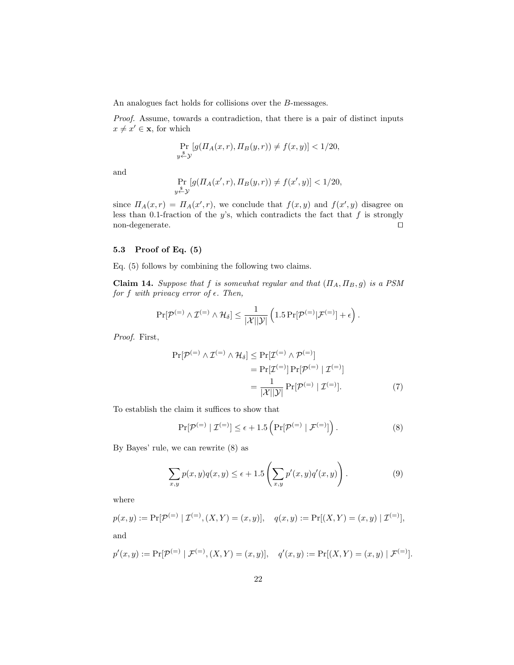An analogues fact holds for collisions over the B-messages.

Proof. Assume, towards a contradiction, that there is a pair of distinct inputs  $x \neq x' \in \mathbf{x}$ , for which

$$
\Pr_{y \stackrel{s}{\sim} y} [g(\Pi_A(x, r), \Pi_B(y, r)) \neq f(x, y)] < 1/20,
$$

and

$$
\Pr_{y \stackrel{k}{\sim} y} [g(\Pi_A(x', r), \Pi_B(y, r)) \neq f(x', y)] < 1/20,
$$

since  $\Pi_A(x,r) = \Pi_A(x',r)$ , we conclude that  $f(x,y)$  and  $f(x',y)$  disagree on less than 0.1-fraction of the y's, which contradicts the fact that  $f$  is strongly non-degenerate.  $\hfill\Box$ 

### 5.3 Proof of Eq. (5)

Eq. (5) follows by combining the following two claims.

Claim 14. Suppose that f is somewhat regular and that  $(\Pi_A, \Pi_B, g)$  is a PSM for f with privacy error of  $\epsilon$ . Then,

$$
\Pr[\mathcal{P}^{(=)} \wedge \mathcal{I}^{(=)} \wedge \mathcal{H}_{\delta}] \leq \frac{1}{|\mathcal{X}||\mathcal{Y}|} \left(1.5 \Pr[\mathcal{P}^{(=)}|\mathcal{F}^{(=)}] + \epsilon\right).
$$

Proof. First,

$$
\Pr[\mathcal{P}^{(=)} \land \mathcal{I}^{(=)} \land \mathcal{H}_{\delta}] \le \Pr[\mathcal{I}^{(=)} \land \mathcal{P}^{(=)}]
$$

$$
= \Pr[\mathcal{I}^{(=)}] \Pr[\mathcal{P}^{(=)} | \mathcal{I}^{(=)}]
$$

$$
= \frac{1}{|\mathcal{X}||\mathcal{Y}|} \Pr[\mathcal{P}^{(=)} | \mathcal{I}^{(=)}]. \tag{7}
$$

To establish the claim it suffices to show that

$$
\Pr[\mathcal{P}^{(=)} | \mathcal{I}^{(=)}] \le \epsilon + 1.5 \left( \Pr[\mathcal{P}^{(=)} | \mathcal{F}^{(=)}] \right). \tag{8}
$$

By Bayes' rule, we can rewrite (8) as

$$
\sum_{x,y} p(x,y)q(x,y) \le \epsilon + 1.5\left(\sum_{x,y} p'(x,y)q'(x,y)\right). \tag{9}
$$

where

$$
p(x, y) := \Pr[\mathcal{P}^{(=)} | \mathcal{I}^{(=)}, (X, Y) = (x, y)], \quad q(x, y) := \Pr[(X, Y) = (x, y) | \mathcal{I}^{(=)}],
$$
  
and

$$
p'(x, y) := Pr[\mathcal{P}^{(-)} | \mathcal{F}^{(-)}, (X, Y) = (x, y)], \quad q'(x, y) := Pr[(X, Y) = (x, y) | \mathcal{F}^{(-)}].
$$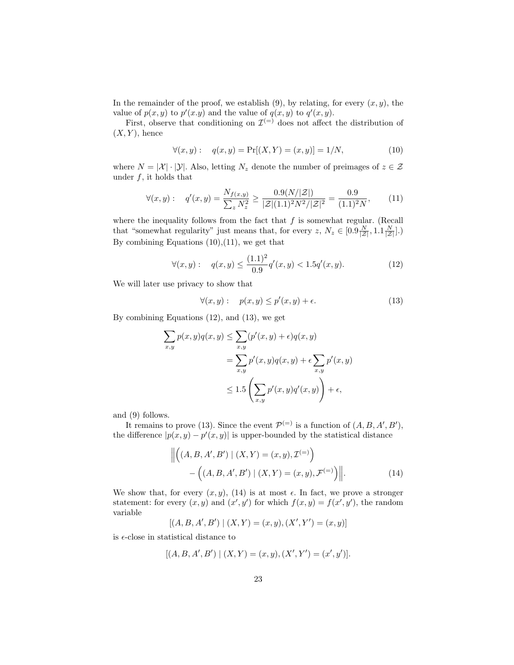In the remainder of the proof, we establish  $(9)$ , by relating, for every  $(x, y)$ , the value of  $p(x, y)$  to  $p'(x, y)$  and the value of  $q(x, y)$  to  $q'(x, y)$ .

First, observe that conditioning on  $\mathcal{I}^{(=)}$  does not affect the distribution of  $(X, Y)$ , hence

$$
\forall (x, y): \quad q(x, y) = \Pr[(X, Y) = (x, y)] = 1/N, \tag{10}
$$

where  $N = |\mathcal{X}| \cdot |\mathcal{Y}|$ . Also, letting  $N_z$  denote the number of preimages of  $z \in \mathcal{Z}$ under  $f$ , it holds that

$$
\forall (x, y): \quad q'(x, y) = \frac{N_{f(x, y)}}{\sum_{z} N_{z}^{2}} \ge \frac{0.9(N/|\mathcal{Z}|)}{|\mathcal{Z}| (1.1)^{2} N^{2} / |\mathcal{Z}|^{2}} = \frac{0.9}{(1.1)^{2} N}, \quad (11)
$$

where the inequality follows from the fact that  $f$  is somewhat regular. (Recall that "somewhat regularity" just means that, for every  $z, N_z \in [0.9\frac{N}{|\mathcal{Z}|}, 1.1\frac{N}{|\mathcal{Z}|}]$ .) By combining Equations  $(10),(11)$ , we get that

$$
\forall (x, y): \quad q(x, y) \le \frac{(1.1)^2}{0.9} q'(x, y) < 1.5q'(x, y). \tag{12}
$$

We will later use privacy to show that

$$
\forall (x, y): \quad p(x, y) \le p'(x, y) + \epsilon. \tag{13}
$$

By combining Equations (12), and (13), we get

$$
\sum_{x,y} p(x,y)q(x,y) \leq \sum_{x,y} (p'(x,y) + \epsilon)q(x,y)
$$

$$
= \sum_{x,y} p'(x,y)q(x,y) + \epsilon \sum_{x,y} p'(x,y)
$$

$$
\leq 1.5 \left( \sum_{x,y} p'(x,y)q'(x,y) \right) + \epsilon,
$$

and (9) follows.

It remains to prove (13). Since the event  $\mathcal{P}^{(=)}$  is a function of  $(A, B, A', B')$ , the difference  $|p(x, y) - p'(x, y)|$  is upper-bounded by the statistical distance

$$
\left\| \left( (A, B, A', B') \mid (X, Y) = (x, y), \mathcal{I}^{(-)} \right) - \left( (A, B, A', B') \mid (X, Y) = (x, y), \mathcal{F}^{(-)} \right) \right\|.
$$
 (14)

We show that, for every  $(x, y)$ , (14) is at most  $\epsilon$ . In fact, we prove a stronger statement: for every  $(x, y)$  and  $(x', y')$  for which  $f(x, y) = f(x', y')$ , the random variable

$$
[(A, B, A', B') | (X, Y) = (x, y), (X', Y') = (x, y)]
$$

is  $\epsilon$ -close in statistical distance to

$$
[(A, B, A', B') | (X, Y) = (x, y), (X', Y') = (x', y')].
$$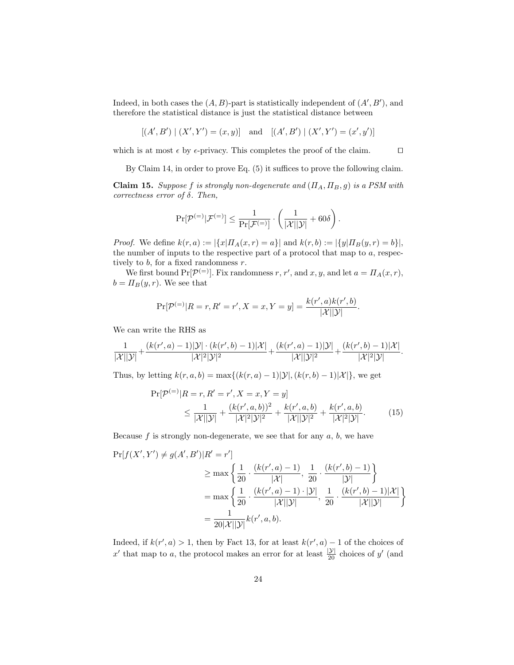Indeed, in both cases the  $(A, B)$ -part is statistically independent of  $(A', B')$ , and therefore the statistical distance is just the statistical distance between

$$
[(A',B') | (X',Y')=(x,y)] \text{ and } [(A',B') | (X',Y')=(x',y')]
$$

which is at most  $\epsilon$  by  $\epsilon$ -privacy. This completes the proof of the claim.  $\Box$ 

By Claim 14, in order to prove Eq.  $(5)$  it suffices to prove the following claim.

**Claim 15.** Suppose f is strongly non-degenerate and  $(\Pi_A, \Pi_B, g)$  is a PSM with correctness error of  $\delta$ . Then,

$$
\Pr[\mathcal{P}^{(=)}|\mathcal{F}^{(=)}] \leq \frac{1}{\Pr[\mathcal{F}^{(=)}]} \cdot \left(\frac{1}{|\mathcal{X}||\mathcal{Y}|} + 60\delta\right).
$$

*Proof.* We define  $k(r, a) := |\{x | H_A(x, r) = a\}|$  and  $k(r, b) := |\{y | H_B(y, r) = b\}|$ , the number of inputs to the respective part of a protocol that map to  $a$ , respectively to  $b$ , for a fixed randomness  $r$ .

We first bound  $Pr[\mathcal{P}^{(=)}]$ . Fix randomness r, r', and x, y, and let  $a = \Pi_A(x, r)$ ,  $b = \Pi_B(y, r)$ . We see that

$$
\Pr[\mathcal{P}^{(=)} | R = r, R' = r', X = x, Y = y] = \frac{k(r', a)k(r', b)}{|\mathcal{X}||\mathcal{Y}|}.
$$

We can write the RHS as

$$
\frac{1}{|\mathcal{X}||\mathcal{Y}|} + \frac{(k(r',a)-1)|\mathcal{Y}| \cdot (k(r',b)-1)|\mathcal{X}|}{|\mathcal{X}|^2|\mathcal{Y}|^2} + \frac{(k(r',a)-1)|\mathcal{Y}|}{|\mathcal{X}||\mathcal{Y}|^2} + \frac{(k(r',b)-1)|\mathcal{X}|}{|\mathcal{X}|^2|\mathcal{Y}|}.
$$

Thus, by letting  $k(r, a, b) = \max\{(k(r, a) - 1)|\mathcal{Y}|, (k(r, b) - 1)|\mathcal{X}|\}$ , we get

$$
\Pr[\mathcal{P}^{(=)}|R=r,R'=r',X=x,Y=y] \le \frac{1}{|\mathcal{X}||\mathcal{Y}|} + \frac{(k(r',a,b))^2}{|\mathcal{X}|^2|\mathcal{Y}|^2} + \frac{k(r',a,b)}{|\mathcal{X}||\mathcal{Y}|^2} + \frac{k(r',a,b)}{|\mathcal{X}|^2|\mathcal{Y}|}. \tag{15}
$$

Because  $f$  is strongly non-degenerate, we see that for any  $a, b$ , we have

$$
\Pr[f(X', Y') \neq g(A', B')|R' = r']
$$
  
\n
$$
\geq \max \left\{ \frac{1}{20} \cdot \frac{(k(r', a) - 1)}{|\mathcal{X}|}, \frac{1}{20} \cdot \frac{(k(r', b) - 1)}{|\mathcal{Y}|} \right\}
$$
  
\n
$$
= \max \left\{ \frac{1}{20} \cdot \frac{(k(r', a) - 1) \cdot |\mathcal{Y}|}{|\mathcal{X}||\mathcal{Y}|}, \frac{1}{20} \cdot \frac{(k(r', b) - 1)|\mathcal{X}|}{|\mathcal{X}||\mathcal{Y}|} \right\}
$$
  
\n
$$
= \frac{1}{20|\mathcal{X}||\mathcal{Y}|} k(r', a, b).
$$

Indeed, if  $k(r', a) > 1$ , then by Fact 13, for at least  $k(r', a) - 1$  of the choices of x' that map to a, the protocol makes an error for at least  $\frac{|\mathcal{Y}|}{20}$  choices of y' (and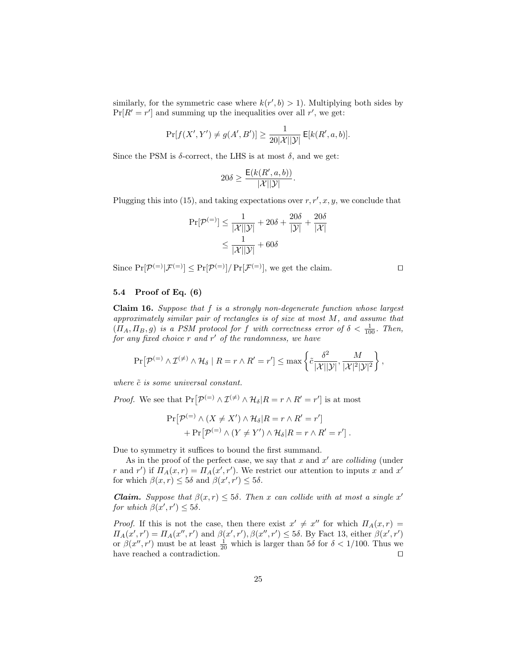similarly, for the symmetric case where  $k(r', b) > 1$ . Multiplying both sides by  $Pr[R' = r']$  and summing up the inequalities over all r', we get:

$$
\Pr[f(X',Y') \neq g(A',B')] \geq \frac{1}{20|\mathcal{X}||\mathcal{Y}|} \mathsf{E}[k(R',a,b)].
$$

Since the PSM is  $\delta$ -correct, the LHS is at most  $\delta$ , and we get:

$$
20\delta \ge \frac{\mathsf{E}(k(R',a,b))}{|\mathcal{X}||\mathcal{Y}|}.
$$

Plugging this into (15), and taking expectations over  $r, r', x, y$ , we conclude that

$$
\Pr[\mathcal{P}^{(=)}] \le \frac{1}{|\mathcal{X}||\mathcal{Y}|} + 20\delta + \frac{20\delta}{|\mathcal{Y}|} + \frac{20\delta}{|\mathcal{X}|}
$$

$$
\le \frac{1}{|\mathcal{X}||\mathcal{Y}|} + 60\delta
$$

Since  $Pr[\mathcal{P}^{(=)}|\mathcal{F}^{(=)}] \leq Pr[\mathcal{P}^{(=)}|/Pr[\mathcal{F}^{(=)}],$  we get the claim.

#### 5.4 Proof of Eq. (6)

**Claim 16.** Suppose that  $f$  is a strongly non-degenerate function whose largest approximately similar pair of rectangles is of size at most M, and assume that  $(\Pi_A, \Pi_B, g)$  is a PSM protocol for f with correctness error of  $\delta < \frac{1}{100}$ . Then, for any fixed choice  $r$  and  $r'$  of the randomness, we have

$$
\Pr[\mathcal{P}^{(=)} \wedge \mathcal{I}^{(\neq)} \wedge \mathcal{H}_{\delta} \mid R = r \wedge R' = r'] \leq \max \left\{ \tilde{c} \frac{\delta^2}{|\mathcal{X}||\mathcal{Y}|}, \frac{M}{|\mathcal{X}|^2 |\mathcal{Y}|^2} \right\},\,
$$

where  $\tilde{c}$  is some universal constant.

*Proof.* We see that  $Pr[\mathcal{P}^{(=)} \wedge \mathcal{I}^{(\neq)} \wedge \mathcal{H}_{\delta} | R = r \wedge R' = r']$  is at most

$$
\Pr[\mathcal{P}^{(=)} \land (X \neq X') \land \mathcal{H}_{\delta} | R = r \land R' = r'] + \Pr[\mathcal{P}^{(=)} \land (Y \neq Y') \land \mathcal{H}_{\delta} | R = r \land R' = r'] .
$$

Due to symmetry it suffices to bound the first summand.

As in the proof of the perfect case, we say that  $x$  and  $x'$  are colliding (under r and r') if  $\Pi_A(x,r) = \Pi_A(x',r')$ . We restrict our attention to inputs x and x' for which  $\beta(x,r) \leq 5\delta$  and  $\beta(x',r') \leq 5\delta$ .

**Claim.** Suppose that  $\beta(x, r) \leq 5\delta$ . Then x can collide with at most a single x' for which  $\beta(x', r') \leq 5\delta$ .

*Proof.* If this is not the case, then there exist  $x' \neq x''$  for which  $\Pi_A(x,r) =$  $\Pi_A(x',r') = \Pi_A(x'',r')$  and  $\beta(x',r'), \beta(x'',r') \leq 5\delta$ . By Fact 13, either  $\beta(x',r')$ or  $\beta(x'', r')$  must be at least  $\frac{1}{20}$  which is larger than 5δ for  $\delta < 1/100$ . Thus we have reached a contradiction.  $\hfill \Box$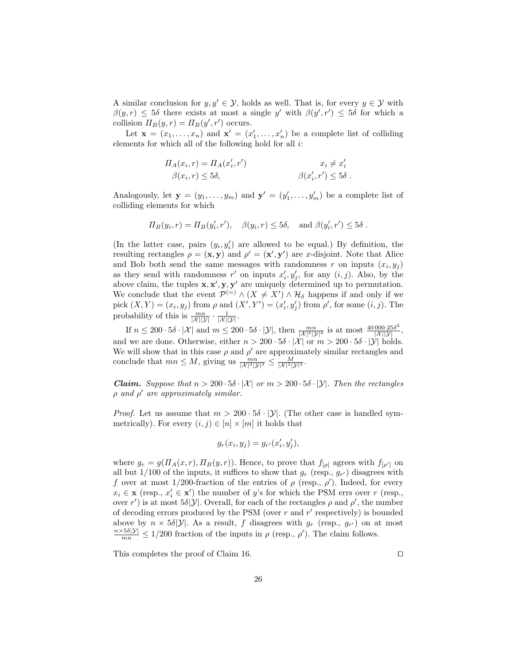A similar conclusion for  $y, y' \in \mathcal{Y}$ , holds as well. That is, for every  $y \in \mathcal{Y}$  with  $\beta(y,r) \leq 5\delta$  there exists at most a single y' with  $\beta(y',r') \leq 5\delta$  for which a collision  $\Pi_B(y,r) = \Pi_B(y',r')$  occurs.

Let  $\mathbf{x} = (x_1, \dots, x_n)$  and  $\mathbf{x}' = (x'_1, \dots, x'_n)$  be a complete list of colliding elements for which all of the following hold for all  $i$ :

$$
H_A(x_i, r) = H_A(x'_i, r')
$$
  
\n
$$
\beta(x_i, r) \le 5\delta,
$$
  
\n
$$
\beta(x'_i, r') \le 5\delta.
$$

Analogously, let  $y = (y_1, \ldots, y_m)$  and  $y' = (y'_1, \ldots, y'_m)$  be a complete list of colliding elements for which

$$
\Pi_B(y_i, r) = \Pi_B(y'_i, r'), \quad \beta(y_i, r) \le 5\delta, \quad \text{and } \beta(y'_i, r') \le 5\delta.
$$

(In the latter case, pairs  $(y_i, y'_i)$  are allowed to be equal.) By definition, the resulting rectangles  $\rho = (\mathbf{x}, \mathbf{y})$  and  $\rho' = (\mathbf{x}', \mathbf{y}')$  are x-disjoint. Note that Alice and Bob both send the same messages with randomness r on inputs  $(x_i, y_j)$ as they send with randomness r' on inputs  $x'_i, y'_j$ , for any  $(i, j)$ . Also, by the above claim, the tuples  $x, x', y, y'$  are uniquely determined up to permutation. We conclude that the event  $\mathcal{P}^{(=)} \wedge (X \neq X') \wedge \mathcal{H}_{\delta}$  happens if and only if we pick  $(X, Y) = (x_i, y_j)$  from  $\rho$  and  $(X', Y') = (x'_i, y'_j)$  from  $\rho'$ , for some  $(i, j)$ . The probability of this is  $\frac{mn}{|\mathcal{X}||\mathcal{Y}|} \cdot \frac{1}{|\mathcal{X}||\mathcal{Y}|}.$ 

If  $n \leq 200 \cdot 5\delta \cdot |\mathcal{X}|$  and  $m \leq 200 \cdot 5\delta \cdot |\mathcal{Y}|$ , then  $\frac{mn}{|\mathcal{X}|^2 |\mathcal{Y}|^2}$  is at most  $\frac{40\,000 \cdot 25\delta^2}{|\mathcal{X}||\mathcal{Y}|}$ , and we are done. Otherwise, either  $n > 200 \cdot 5\delta \cdot |\mathcal{X}|$  or  $m > 200 \cdot 5\delta \cdot |\mathcal{Y}|$  holds. We will show that in this case  $\rho$  and  $\rho'$  are approximately similar rectangles and conclude that  $mn \leq M$ , giving us  $\frac{mn}{|\mathcal{X}|^2|\mathcal{Y}|^2} \leq \frac{M}{|\mathcal{X}|^2|\mathcal{Y}|^2}$ .

**Claim.** Suppose that  $n > 200 \cdot 5\delta \cdot |\mathcal{X}|$  or  $m > 200 \cdot 5\delta \cdot |\mathcal{Y}|$ . Then the rectangles  $\rho$  and  $\rho'$  are approximately similar.

*Proof.* Let us assume that  $m > 200 \cdot 5\delta \cdot |\mathcal{Y}|$ . (The other case is handled symmetrically). For every  $(i, j) \in [n] \times [m]$  it holds that

$$
g_r(x_i, y_j) = g_{r'}(x'_i, y'_j),
$$

where  $g_r = g(\Pi_A(x,r), \Pi_B(y,r))$ . Hence, to prove that  $f_{[\rho]}$  agrees with  $f_{[\rho']}$  on all but  $1/100$  of the inputs, it suffices to show that  $g_r$  (resp.,  $g_{r'}$ ) disagrees with f over at most 1/200-fraction of the entries of  $\rho$  (resp.,  $\rho'$ ). Indeed, for every  $x_i \in \mathbf{x}$  (resp.,  $x'_i \in \mathbf{x}'$ ) the number of y's for which the PSM errs over r (resp., over r') is at most  $5\delta|\mathcal{Y}|$ . Overall, for each of the rectangles  $\rho$  and  $\rho'$ , the number of decoding errors produced by the PSM (over  $r$  and  $r'$  respectively) is bounded above by  $n \times 5\delta|\mathcal{Y}|$ . As a result, f disagrees with  $g_r$  (resp.,  $g_{r'}$ ) on at most  $\frac{n\times5\delta|\mathcal{Y}|}{mn} \leq 1/200$  fraction of the inputs in  $\rho$  (resp.,  $\rho'$ ). The claim follows.

This completes the proof of Claim 16.  $\Box$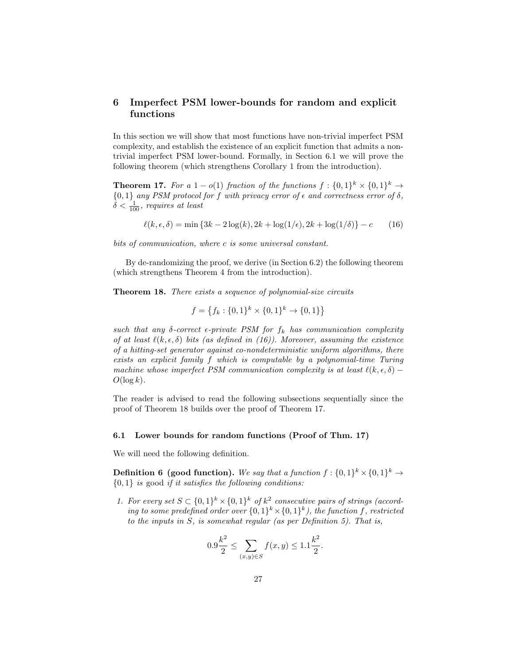# 6 Imperfect PSM lower-bounds for random and explicit functions

In this section we will show that most functions have non-trivial imperfect PSM complexity, and establish the existence of an explicit function that admits a nontrivial imperfect PSM lower-bound. Formally, in Section 6.1 we will prove the following theorem (which strengthens Corollary 1 from the introduction).

**Theorem 17.** For a 1 – o(1) fraction of the functions  $f: \{0,1\}^k \times \{0,1\}^k \to$  ${0,1}$  any PSM protocol for f with privacy error of  $\epsilon$  and correctness error of  $\delta$ ,  $\delta < \frac{1}{100}$ , requires at least

$$
\ell(k, \epsilon, \delta) = \min\left\{3k - 2\log(k), 2k + \log(1/\epsilon), 2k + \log(1/\delta)\right\} - c \tag{16}
$$

bits of communication, where c is some universal constant.

By de-randomizing the proof, we derive (in Section 6.2) the following theorem (which strengthens Theorem 4 from the introduction).

Theorem 18. There exists a sequence of polynomial-size circuits

$$
f = \{f_k : \{0, 1\}^k \times \{0, 1\}^k \to \{0, 1\}\}\
$$

such that any  $\delta$ -correct  $\epsilon$ -private PSM for  $f_k$  has communication complexity of at least  $\ell(k, \epsilon, \delta)$  bits (as defined in (16)). Moreover, assuming the existence of a hitting-set generator against co-nondeterministic uniform algorithms, there exists an explicit family f which is computable by a polynomial-time Turing machine whose imperfect PSM communication complexity is at least  $\ell(k, \epsilon, \delta)$  –  $O(\log k)$ .

The reader is advised to read the following subsections sequentially since the proof of Theorem 18 builds over the proof of Theorem 17.

#### 6.1 Lower bounds for random functions (Proof of Thm. 17)

We will need the following definition.

**Definition 6 (good function).** We say that a function  $f: \{0,1\}^k \times \{0,1\}^k \rightarrow$  ${0, 1}$  is good if it satisfies the following conditions:

1. For every set  $S \subset \{0,1\}^k \times \{0,1\}^k$  of  $k^2$  consecutive pairs of strings (according to some predefined order over  $\{0,1\}^k \times \{0,1\}^k$ ), the function f, restricted to the inputs in S, is somewhat regular (as per Definition 5). That is,

$$
0.9\frac{k^2}{2} \le \sum_{(x,y)\in S} f(x,y) \le 1.1\frac{k^2}{2}.
$$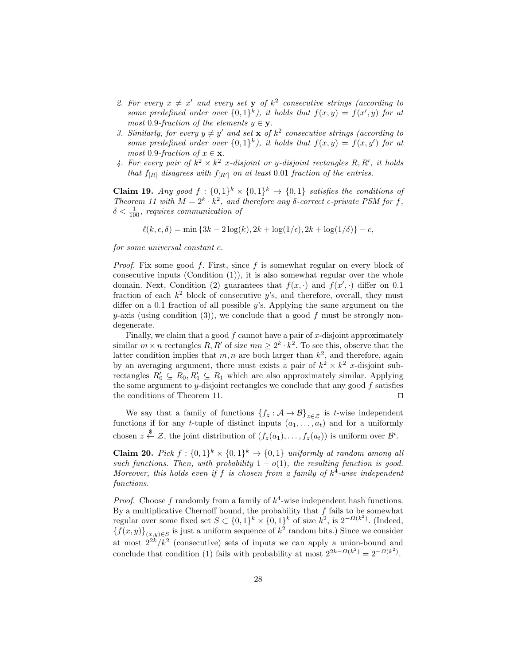- 2. For every  $x \neq x'$  and every set y of  $k^2$  consecutive strings (according to some predefined order over  $\{0,1\}^k$ , it holds that  $f(x,y) = f(x',y)$  for at most 0.9-fraction of the elements  $y \in y$ .
- 3. Similarly, for every  $y \neq y'$  and set **x** of  $k^2$  consecutive strings (according to some predefined order over  $\{0,1\}^k$ , it holds that  $f(x,y) = f(x,y')$  for at most 0.9-fraction of  $x \in \mathbf{x}$ .
- 4. For every pair of  $k^2 \times k^2$  x-disjoint or y-disjoint rectangles R, R', it holds that  $f_{[R]}$  disagrees with  $f_{[R']}$  on at least 0.01 fraction of the entries.

**Claim 19.** Any good  $f: \{0,1\}^k \times \{0,1\}^k \rightarrow \{0,1\}$  satisfies the conditions of Theorem 11 with  $M = 2^k \cdot k^2$ , and therefore any  $\delta$ -correct  $\epsilon$ -private PSM for f,  $\delta < \frac{1}{100}$ , requires communication of

$$
\ell(k, \epsilon, \delta) = \min\left\{3k - 2\log(k), 2k + \log(1/\epsilon), 2k + \log(1/\delta)\right\} - c,
$$

for some universal constant c.

*Proof.* Fix some good f. First, since f is somewhat regular on every block of consecutive inputs  $(Condition (1))$ , it is also somewhat regular over the whole domain. Next, Condition (2) guarantees that  $f(x, \cdot)$  and  $f(x', \cdot)$  differ on 0.1 fraction of each  $k^2$  block of consecutive y's, and therefore, overall, they must differ on a 0.1 fraction of all possible  $y$ 's. Applying the same argument on the y-axis (using condition (3)), we conclude that a good f must be strongly nondegenerate.

Finally, we claim that a good  $f$  cannot have a pair of  $x$ -disjoint approximately similar  $m \times n$  rectangles  $R, R'$  of size  $mn \geq 2^k \cdot k^2$ . To see this, observe that the latter condition implies that  $m, n$  are both larger than  $k^2$ , and therefore, again by an averaging argument, there must exists a pair of  $k^2 \times k^2$  x-disjoint subrectangles  $R'_0 \subseteq R_0, R'_1 \subseteq R_1$  which are also approximately similar. Applying the same argument to y-disjoint rectangles we conclude that any good  $f$  satisfies the conditions of Theorem 11.  $\Box$ 

We say that a family of functions  $\{f_z : \mathcal{A} \to \mathcal{B}\}_{z \in \mathcal{Z}}$  is t-wise independent functions if for any t-tuple of distinct inputs  $(a_1, \ldots, a_t)$  and for a uniformly chosen  $z \stackrel{\$}{\leftarrow} \mathcal{Z}$ , the joint distribution of  $(f_z(a_1), \ldots, f_z(a_t))$  is uniform over  $\mathcal{B}^t$ .

**Claim 20.** Pick  $f : \{0,1\}^k \times \{0,1\}^k \rightarrow \{0,1\}$  uniformly at random among all such functions. Then, with probability  $1 - o(1)$ , the resulting function is good. Moreover, this holds even if f is chosen from a family of  $k^4$ -wise independent functions.

*Proof.* Choose f randomly from a family of  $k^4$ -wise independent hash functions. By a multiplicative Chernoff bound, the probability that  $f$  fails to be somewhat regular over some fixed set  $S \subset \{0,1\}^k \times \{0,1\}^k$  of size  $k^2$ , is  $2^{-\Omega(k^2)}$ . (Indeed,  ${f(x,y)}_{(x,y)\in S}$  is just a uniform sequence of  $k^2$  random bits.) Since we consider at most  $2^{2k}/k^2$  (consecutive) sets of inputs we can apply a union-bound and conclude that condition (1) fails with probability at most  $2^{2k-\Omega(k^2)} = 2^{-\Omega(k^2)}$ .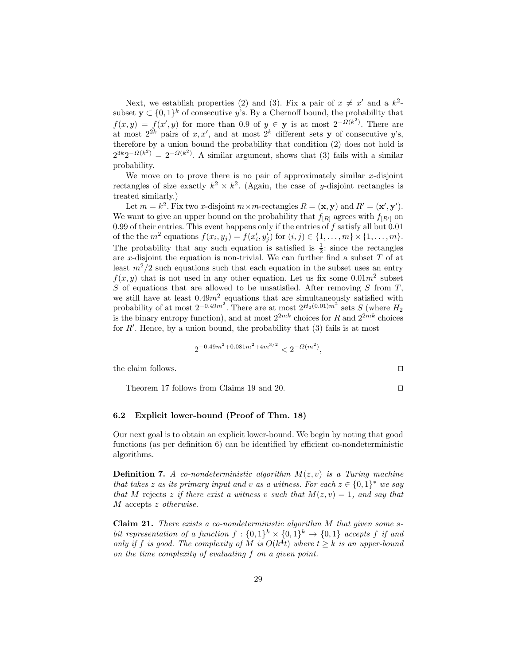Next, we establish properties (2) and (3). Fix a pair of  $x \neq x'$  and a  $k^2$ subset  $y \n\subset \{0,1\}^k$  of consecutive y's. By a Chernoff bound, the probability that  $f(x,y) = f(x',y)$  for more than 0.9 of  $y \in y$  is at most  $2^{-\Omega(k^2)}$ . There are at most  $2^{2k}$  pairs of x, x', and at most  $2^k$  different sets y of consecutive y's, therefore by a union bound the probability that condition (2) does not hold is  $2^{3k}2^{-\Omega(k^2)} = 2^{-\Omega(k^2)}$ . A similar argument, shows that (3) fails with a similar probability.

We move on to prove there is no pair of approximately similar  $x$ -disjoint rectangles of size exactly  $k^2 \times k^2$ . (Again, the case of y-disjoint rectangles is treated similarly.)

Let  $m = k^2$ . Fix two x-disjoint  $m \times m$ -rectangles  $R = (\mathbf{x}, \mathbf{y})$  and  $R' = (\mathbf{x}', \mathbf{y}')$ . We want to give an upper bound on the probability that  $f_{[R]}$  agrees with  $f_{[R']}$  on 0.99 of their entries. This event happens only if the entries of  $f$  satisfy all but 0.01 of the the  $m^2$  equations  $f(x_i, y_j) = f(x'_i, y'_j)$  for  $(i, j) \in \{1, ..., m\} \times \{1, ..., m\}$ . The probability that any such equation is satisfied is  $\frac{1}{2}$ : since the rectangles are x-disjoint the equation is non-trivial. We can further find a subset  $T$  of at least  $m^2/2$  such equations such that each equation in the subset uses an entry  $f(x, y)$  that is not used in any other equation. Let us fix some  $0.01m^2$  subset S of equations that are allowed to be unsatisfied. After removing S from  $T$ , we still have at least  $0.49m^2$  equations that are simultaneously satisfied with probability of at most  $2^{-0.49m^2}$ . There are at most  $2^{H_2(0.01)m^2}$  sets S (where  $H_2$ is the binary entropy function), and at most  $2^{2mk}$  choices for R and  $2^{2mk}$  choices for  $R'$ . Hence, by a union bound, the probability that  $(3)$  fails is at most

$$
2^{-0.49m^2 + 0.081m^2 + 4m^{3/2}} < 2^{-\Omega(m^2)},
$$

the claim follows.  $\Box$ 

Theorem 17 follows from Claims 19 and 20.  $\Box$ 

#### 6.2 Explicit lower-bound (Proof of Thm. 18)

Our next goal is to obtain an explicit lower-bound. We begin by noting that good functions (as per definition 6) can be identified by efficient co-nondeterministic algorithms.

**Definition 7.** A co-nondeterministic algorithm  $M(z, v)$  is a Turing machine that takes z as its primary input and v as a witness. For each  $z \in \{0,1\}^*$  we say that M rejects z if there exist a witness v such that  $M(z, v) = 1$ , and say that M accepts z otherwise.

Claim 21. There exists a co-nondeterministic algorithm M that given some sbit representation of a function  $f: \{0,1\}^k \times \{0,1\}^k \rightarrow \{0,1\}$  accepts f if and only if f is good. The complexity of M is  $O(k^4t)$  where  $t \geq k$  is an upper-bound on the time complexity of evaluating f on a given point.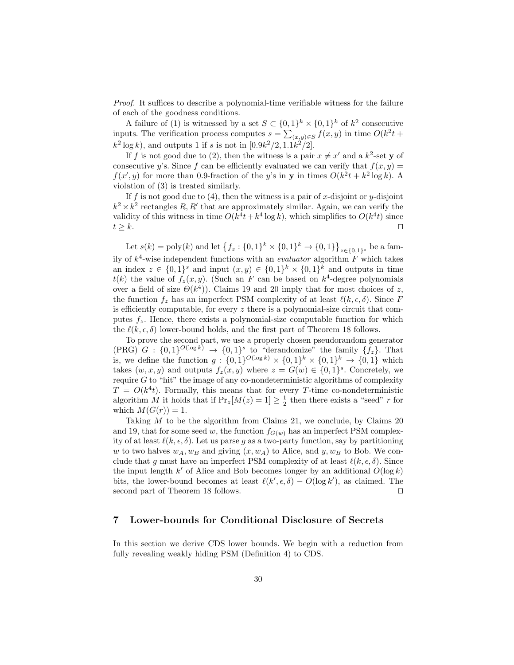Proof. It suffices to describe a polynomial-time verifiable witness for the failure of each of the goodness conditions.

A failure of (1) is witnessed by a set  $S \subset \{0,1\}^k \times \{0,1\}^k$  of  $k^2$  consecutive inputs. The verification process computes  $s = \sum_{(x,y)\in S} f(x,y)$  in time  $O(k^2t +$  $k^2 \log k$ , and outputs 1 if s is not in  $[0.9k^2/2, 1.1k^2/2]$ .

If f is not good due to (2), then the witness is a pair  $x \neq x'$  and a  $k^2$ -set y of consecutive y's. Since f can be efficiently evaluated we can verify that  $f(x, y) =$  $f(x', y)$  for more than 0.9-fraction of the y's in y in times  $O(k^2t + k^2 \log k)$ . A violation of (3) is treated similarly.

If f is not good due to  $(4)$ , then the witness is a pair of x-disjoint or y-disjoint  $k^2 \times k^2$  rectangles R, R' that are approximately similar. Again, we can verify the validity of this witness in time  $O(k^4t + k^4 \log k)$ , which simplifies to  $O(k^4t)$  since  $t \geq k$ .

Let  $s(k) = \text{poly}(k)$  and let  $\{f_z: \{0,1\}^k \times \{0,1\}^k \to \{0,1\}\}_{z \in \{0,1\}^s}$  be a family of  $k^4$ -wise independent functions with an *evaluator* algorithm  $\overline{F}$  which takes an index  $z \in \{0,1\}^s$  and input  $(x,y) \in \{0,1\}^k \times \{0,1\}^k$  and outputs in time  $t(k)$  the value of  $f_z(x, y)$ . (Such an F can be based on  $k^4$ -degree polynomials over a field of size  $\Theta(k^4)$ ). Claims 19 and 20 imply that for most choices of z, the function  $f_z$  has an imperfect PSM complexity of at least  $\ell(k, \epsilon, \delta)$ . Since F is efficiently computable, for every  $z$  there is a polynomial-size circuit that computes  $f_z$ . Hence, there exists a polynomial-size computable function for which the  $\ell(k, \epsilon, \delta)$  lower-bound holds, and the first part of Theorem 18 follows.

To prove the second part, we use a properly chosen pseudorandom generator  $(PRG) G : \{0,1\}^{O(\log k)} \longrightarrow \{0,1\}^s$  to "derandomize" the family  $\{f_z\}$ . That is, we define the function  $g: \{0,1\}^{O(\log k)} \times \{0,1\}^k \times \{0,1\}^k \rightarrow \{0,1\}$  which takes  $(w, x, y)$  and outputs  $f_z(x, y)$  where  $z = G(w) \in \{0, 1\}^s$ . Concretely, we require  $G$  to "hit" the image of any co-nondeterministic algorithms of complexity  $T = O(k<sup>4</sup>t)$ . Formally, this means that for every T-time co-nondeterministic algorithm M it holds that if  $Pr_z[M(z) = 1] \ge \frac{1}{2}$  then there exists a "seed" r for which  $M(G(r)) = 1$ .

Taking  $M$  to be the algorithm from Claims 21, we conclude, by Claims 20 and 19, that for some seed w, the function  $f_{G(w)}$  has an imperfect PSM complexity of at least  $\ell(k, \epsilon, \delta)$ . Let us parse g as a two-party function, say by partitioning w to two halves  $w_A, w_B$  and giving  $(x, w_A)$  to Alice, and  $y, w_B$  to Bob. We conclude that g must have an imperfect PSM complexity of at least  $\ell(k, \epsilon, \delta)$ . Since the input length  $k'$  of Alice and Bob becomes longer by an additional  $O(\log k)$ bits, the lower-bound becomes at least  $\ell(k', \epsilon, \delta) - O(\log k')$ , as claimed. The second part of Theorem 18 follows.  $\Box$ 

# 7 Lower-bounds for Conditional Disclosure of Secrets

In this section we derive CDS lower bounds. We begin with a reduction from fully revealing weakly hiding PSM (Definition 4) to CDS.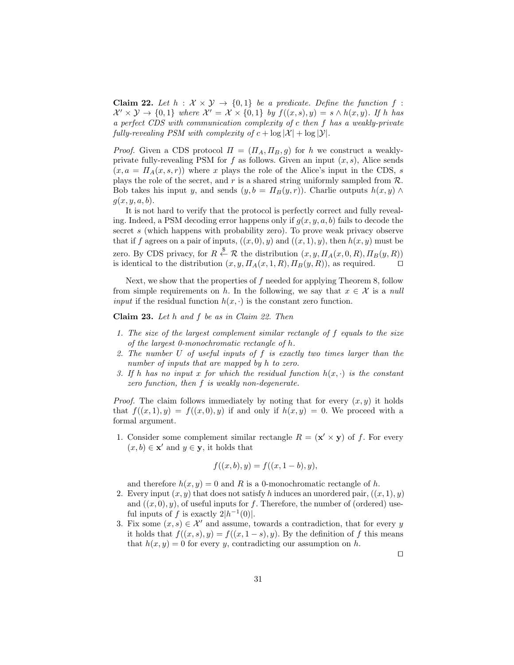**Claim 22.** Let  $h : \mathcal{X} \times \mathcal{Y} \rightarrow \{0,1\}$  be a predicate. Define the function f:  $\mathcal{X}' \times \mathcal{Y} \to \{0,1\}$  where  $\mathcal{X}' = \mathcal{X} \times \{0,1\}$  by  $f((x,s),y) = s \wedge h(x,y)$ . If h has a perfect CDS with communication complexity of c then f has a weakly-private fully-revealing PSM with complexity of  $c + \log |\mathcal{X}| + \log |\mathcal{Y}|$ .

*Proof.* Given a CDS protocol  $\Pi = (\Pi_A, \Pi_B, g)$  for h we construct a weaklyprivate fully-revealing PSM for f as follows. Given an input  $(x, s)$ , Alice sends  $(x, a = \Pi_A(x, s, r))$  where x plays the role of the Alice's input in the CDS, s plays the role of the secret, and  $r$  is a shared string uniformly sampled from  $\mathcal{R}$ . Bob takes his input y, and sends  $(y, b = \Pi_B(y, r))$ . Charlie outputs  $h(x, y) \wedge$  $g(x, y, a, b)$ .

It is not hard to verify that the protocol is perfectly correct and fully revealing. Indeed, a PSM decoding error happens only if  $g(x, y, a, b)$  fails to decode the secret s (which happens with probability zero). To prove weak privacy observe that if f agrees on a pair of inputs,  $((x, 0), y)$  and  $((x, 1), y)$ , then  $h(x, y)$  must be zero. By CDS privacy, for  $R \stackrel{\$}{\leftarrow} \mathcal{R}$  the distribution  $(x, y, \Pi_A(x, 0, R), \Pi_B(y, R))$ is identical to the distribution  $(x, y, \Pi_A(x, 1, R), \Pi_B(y, R))$ , as required.  $\square$ 

Next, we show that the properties of  $f$  needed for applying Theorem 8, follow from simple requirements on h. In the following, we say that  $x \in \mathcal{X}$  is a null *input* if the residual function  $h(x, \cdot)$  is the constant zero function.

Claim 23. Let h and f be as in Claim 22. Then

- 1. The size of the largest complement similar rectangle of f equals to the size of the largest 0-monochromatic rectangle of h.
- 2. The number U of useful inputs of f is exactly two times larger than the number of inputs that are mapped by h to zero.
- 3. If h has no input x for which the residual function  $h(x, \cdot)$  is the constant zero function, then f is weakly non-degenerate.

*Proof.* The claim follows immediately by noting that for every  $(x, y)$  it holds that  $f((x, 1), y) = f((x, 0), y)$  if and only if  $h(x, y) = 0$ . We proceed with a formal argument.

1. Consider some complement similar rectangle  $R = (\mathbf{x}' \times \mathbf{y})$  of f. For every  $(x, b) \in \mathbf{x}'$  and  $y \in \mathbf{y}$ , it holds that

$$
f((x, b), y) = f((x, 1 - b), y),
$$

and therefore  $h(x, y) = 0$  and R is a 0-monochromatic rectangle of h.

- 2. Every input  $(x, y)$  that does not satisfy h induces an unordered pair,  $((x, 1), y)$ and  $((x, 0), y)$ , of useful inputs for f. Therefore, the number of (ordered) useful inputs of f is exactly  $2|h^{-1}(0)|$ .
- 3. Fix some  $(x, s) \in \mathcal{X}'$  and assume, towards a contradiction, that for every y it holds that  $f((x, s), y) = f((x, 1-s), y)$ . By the definition of f this means that  $h(x, y) = 0$  for every y, contradicting our assumption on h.

 $\Box$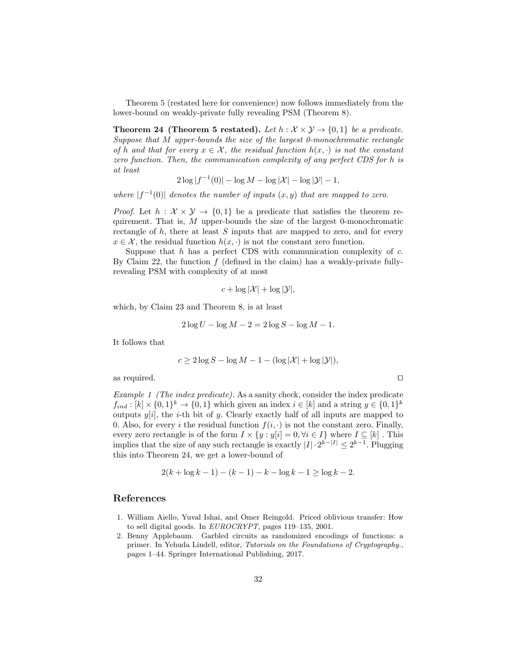Theorem 5 (restated here for convenience) now follows immediately from the lower-bound on weakly-private fully revealing PSM (Theorem 8).

**Theorem 24 (Theorem 5 restated).** Let  $h : \mathcal{X} \times \mathcal{Y} \rightarrow \{0, 1\}$  be a predicate. Suppose that M upper-bounds the size of the largest 0-monochromatic rectangle of h and that for every  $x \in \mathcal{X}$ , the residual function  $h(x, \cdot)$  is not the constant zero function. Then, the communication complexity of any perfect CDS for h is at least

$$
2\log|f^{-1}(0)| - \log M - \log|\mathcal{X}| - \log|\mathcal{Y}| - 1,
$$

where  $|f^{-1}(0)|$  denotes the number of inputs  $(x, y)$  that are mapped to zero.

*Proof.* Let  $h : \mathcal{X} \times \mathcal{Y} \rightarrow \{0,1\}$  be a predicate that satisfies the theorem requirement. That is, M upper-bounds the size of the largest 0-monochromatic rectangle of  $h$ , there at least  $S$  inputs that are mapped to zero, and for every  $x \in \mathcal{X}$ , the residual function  $h(x, \cdot)$  is not the constant zero function.

Suppose that h has a perfect CDS with communication complexity of  $c$ . By Claim 22, the function  $f$  (defined in the claim) has a weakly-private fullyrevealing PSM with complexity of at most

$$
c + \log |\mathcal{X}| + \log |\mathcal{Y}|,
$$

which, by Claim 23 and Theorem 8, is at least

$$
2\log U - \log M - 2 = 2\log S - \log M - 1.
$$

It follows that

$$
c \ge 2\log S - \log M - 1 - (\log |\mathcal{X}| + \log |\mathcal{Y}|),
$$

as required.  $\Box$ 

Example 1 (The index predicate). As a sanity check, consider the index predicate  $f_{ind}: [k] \times \{0,1\}^k \to \{0,1\}$  which given an index  $i \in [k]$  and a string  $y \in \{0,1\}^k$ outputs  $y[i]$ , the *i*-th bit of y. Clearly exactly half of all inputs are mapped to 0. Also, for every i the residual function  $f(i, \cdot)$  is not the constant zero. Finally, every zero rectangle is of the form  $I \times \{y : y[i] = 0, \forall i \in I\}$  where  $I \subseteq [k]$ . This implies that the size of any such rectangle is exactly  $|I| \cdot 2^{k-|I|} \leq 2^{k-1}$ . Plugging this into Theorem 24, we get a lower-bound of

$$
2(k + \log k - 1) - (k - 1) - k - \log k - 1 \ge \log k - 2.
$$

# References

- 1. William Aiello, Yuval Ishai, and Omer Reingold. Priced oblivious transfer: How to sell digital goods. In EUROCRYPT, pages 119–135, 2001.
- 2. Benny Applebaum. Garbled circuits as randomized encodings of functions: a primer. In Yehuda Lindell, editor, Tutorials on the Foundations of Cryptography., pages 1–44. Springer International Publishing, 2017.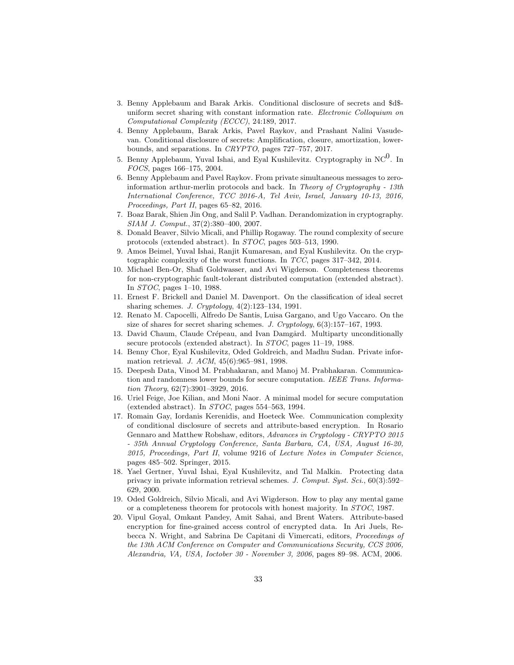- 3. Benny Applebaum and Barak Arkis. Conditional disclosure of secrets and \$d\$ uniform secret sharing with constant information rate. Electronic Colloquium on Computational Complexity (ECCC), 24:189, 2017.
- 4. Benny Applebaum, Barak Arkis, Pavel Raykov, and Prashant Nalini Vasudevan. Conditional disclosure of secrets: Amplification, closure, amortization, lowerbounds, and separations. In CRYPTO, pages 727–757, 2017.
- 5. Benny Applebaum, Yuval Ishai, and Eyal Kushilevitz. Cryptography in  $NC<sup>0</sup>$ . In FOCS, pages 166–175, 2004.
- 6. Benny Applebaum and Pavel Raykov. From private simultaneous messages to zeroinformation arthur-merlin protocols and back. In Theory of Cryptography - 13th International Conference, TCC 2016-A, Tel Aviv, Israel, January 10-13, 2016, Proceedings, Part II, pages 65–82, 2016.
- 7. Boaz Barak, Shien Jin Ong, and Salil P. Vadhan. Derandomization in cryptography. SIAM J. Comput., 37(2):380–400, 2007.
- 8. Donald Beaver, Silvio Micali, and Phillip Rogaway. The round complexity of secure protocols (extended abstract). In STOC, pages 503–513, 1990.
- 9. Amos Beimel, Yuval Ishai, Ranjit Kumaresan, and Eyal Kushilevitz. On the cryptographic complexity of the worst functions. In TCC, pages 317–342, 2014.
- 10. Michael Ben-Or, Shafi Goldwasser, and Avi Wigderson. Completeness theorems for non-cryptographic fault-tolerant distributed computation (extended abstract). In STOC, pages 1–10, 1988.
- 11. Ernest F. Brickell and Daniel M. Davenport. On the classification of ideal secret sharing schemes. J. Cryptology, 4(2):123–134, 1991.
- 12. Renato M. Capocelli, Alfredo De Santis, Luisa Gargano, and Ugo Vaccaro. On the size of shares for secret sharing schemes. J. Cryptology, 6(3):157–167, 1993.
- 13. David Chaum, Claude Crépeau, and Ivan Damgård. Multiparty unconditionally secure protocols (extended abstract). In STOC, pages 11–19, 1988.
- 14. Benny Chor, Eyal Kushilevitz, Oded Goldreich, and Madhu Sudan. Private information retrieval. J. ACM, 45(6):965–981, 1998.
- 15. Deepesh Data, Vinod M. Prabhakaran, and Manoj M. Prabhakaran. Communication and randomness lower bounds for secure computation. IEEE Trans. Information Theory, 62(7):3901–3929, 2016.
- 16. Uriel Feige, Joe Kilian, and Moni Naor. A minimal model for secure computation (extended abstract). In  $STOC$ , pages 554–563, 1994.
- 17. Romain Gay, Iordanis Kerenidis, and Hoeteck Wee. Communication complexity of conditional disclosure of secrets and attribute-based encryption. In Rosario Gennaro and Matthew Robshaw, editors, Advances in Cryptology - CRYPTO 2015 - 35th Annual Cryptology Conference, Santa Barbara, CA, USA, August 16-20, 2015, Proceedings, Part II, volume 9216 of Lecture Notes in Computer Science, pages 485–502. Springer, 2015.
- 18. Yael Gertner, Yuval Ishai, Eyal Kushilevitz, and Tal Malkin. Protecting data privacy in private information retrieval schemes. J. Comput. Syst. Sci., 60(3):592– 629, 2000.
- 19. Oded Goldreich, Silvio Micali, and Avi Wigderson. How to play any mental game or a completeness theorem for protocols with honest majority. In STOC, 1987.
- 20. Vipul Goyal, Omkant Pandey, Amit Sahai, and Brent Waters. Attribute-based encryption for fine-grained access control of encrypted data. In Ari Juels, Rebecca N. Wright, and Sabrina De Capitani di Vimercati, editors, Proceedings of the 13th ACM Conference on Computer and Communications Security, CCS 2006, Alexandria, VA, USA, Ioctober 30 - November 3, 2006, pages 89–98. ACM, 2006.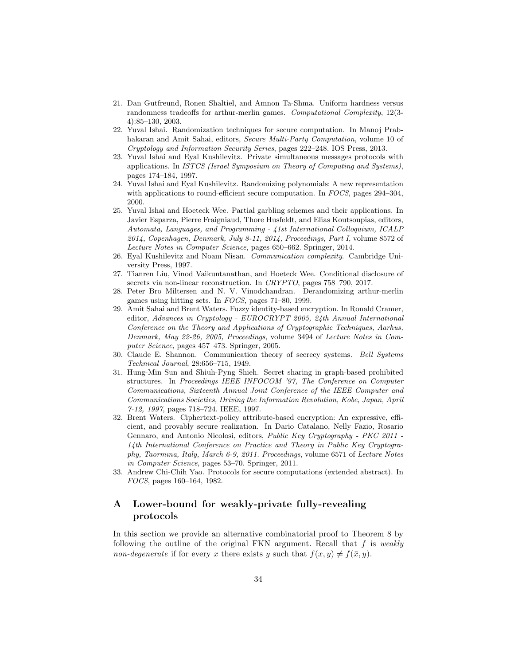- 21. Dan Gutfreund, Ronen Shaltiel, and Amnon Ta-Shma. Uniform hardness versus randomness tradeoffs for arthur-merlin games. Computational Complexity, 12(3- 4):85–130, 2003.
- 22. Yuval Ishai. Randomization techniques for secure computation. In Manoj Prabhakaran and Amit Sahai, editors, Secure Multi-Party Computation, volume 10 of Cryptology and Information Security Series, pages 222–248. IOS Press, 2013.
- 23. Yuval Ishai and Eyal Kushilevitz. Private simultaneous messages protocols with applications. In ISTCS (Israel Symposium on Theory of Computing and Systems), pages 174–184, 1997.
- 24. Yuval Ishai and Eyal Kushilevitz. Randomizing polynomials: A new representation with applications to round-efficient secure computation. In FOCS, pages 294–304, 2000.
- 25. Yuval Ishai and Hoeteck Wee. Partial garbling schemes and their applications. In Javier Esparza, Pierre Fraigniaud, Thore Husfeldt, and Elias Koutsoupias, editors, Automata, Languages, and Programming - 41st International Colloquium, ICALP 2014, Copenhagen, Denmark, July 8-11, 2014, Proceedings, Part I, volume 8572 of Lecture Notes in Computer Science, pages 650–662. Springer, 2014.
- 26. Eyal Kushilevitz and Noam Nisan. Communication complexity. Cambridge University Press, 1997.
- 27. Tianren Liu, Vinod Vaikuntanathan, and Hoeteck Wee. Conditional disclosure of secrets via non-linear reconstruction. In CRYPTO, pages 758–790, 2017.
- 28. Peter Bro Miltersen and N. V. Vinodchandran. Derandomizing arthur-merlin games using hitting sets. In FOCS, pages 71–80, 1999.
- 29. Amit Sahai and Brent Waters. Fuzzy identity-based encryption. In Ronald Cramer, editor, Advances in Cryptology - EUROCRYPT 2005, 24th Annual International Conference on the Theory and Applications of Cryptographic Techniques, Aarhus, Denmark, May 22-26, 2005, Proceedings, volume 3494 of Lecture Notes in Computer Science, pages 457–473. Springer, 2005.
- 30. Claude E. Shannon. Communication theory of secrecy systems. Bell Systems Technical Journal, 28:656–715, 1949.
- 31. Hung-Min Sun and Shiuh-Pyng Shieh. Secret sharing in graph-based prohibited structures. In Proceedings IEEE INFOCOM '97, The Conference on Computer Communications, Sixteenth Annual Joint Conference of the IEEE Computer and Communications Societies, Driving the Information Revolution, Kobe, Japan, April 7-12, 1997, pages 718–724. IEEE, 1997.
- 32. Brent Waters. Ciphertext-policy attribute-based encryption: An expressive, efficient, and provably secure realization. In Dario Catalano, Nelly Fazio, Rosario Gennaro, and Antonio Nicolosi, editors, Public Key Cryptography - PKC 2011 - 14th International Conference on Practice and Theory in Public Key Cryptography, Taormina, Italy, March 6-9, 2011. Proceedings, volume 6571 of Lecture Notes in Computer Science, pages 53–70. Springer, 2011.
- 33. Andrew Chi-Chih Yao. Protocols for secure computations (extended abstract). In FOCS, pages 160–164, 1982.

# A Lower-bound for weakly-private fully-revealing protocols

In this section we provide an alternative combinatorial proof to Theorem 8 by following the outline of the original FKN argument. Recall that  $f$  is weakly non-degenerate if for every x there exists y such that  $f(x, y) \neq f(\bar{x}, y)$ .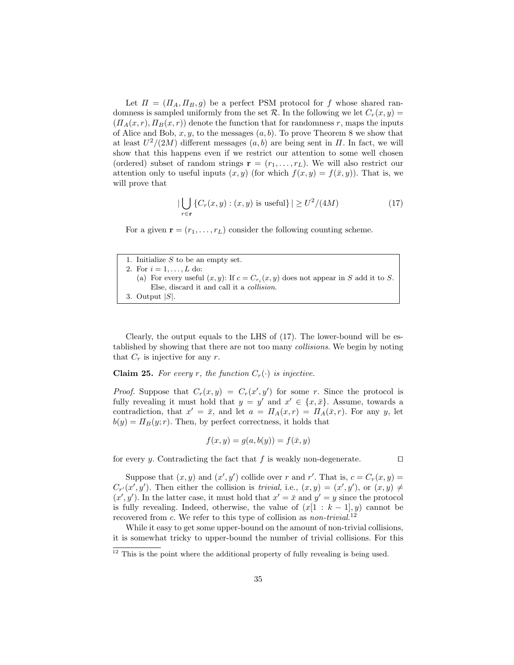Let  $\Pi = (\Pi_A, \Pi_B, g)$  be a perfect PSM protocol for f whose shared randomness is sampled uniformly from the set  $\mathcal{R}$ . In the following we let  $C_r(x, y) =$  $(\Pi_A(x, r), \Pi_B(x, r))$  denote the function that for randomness r, maps the inputs of Alice and Bob,  $x, y$ , to the messages  $(a, b)$ . To prove Theorem 8 we show that at least  $U^2/(2M)$  different messages  $(a, b)$  are being sent in  $\Pi$ . In fact, we will show that this happens even if we restrict our attention to some well chosen (ordered) subset of random strings  $\mathbf{r} = (r_1, \ldots, r_L)$ . We will also restrict our attention only to useful inputs  $(x, y)$  (for which  $f(x, y) = f(\bar{x}, y)$ ). That is, we will prove that

$$
\left| \bigcup_{r \in \mathbf{r}} \left\{ C_r(x, y) : (x, y) \text{ is useful} \right\} \right| \ge U^2 / (4M) \tag{17}
$$

For a given  $\mathbf{r} = (r_1, \ldots, r_L)$  consider the following counting scheme.

| 1. Initialize $S$ to be an empty set.                                                    |
|------------------------------------------------------------------------------------------|
| 2. For $i = 1, , L$ do:                                                                  |
| (a) For every useful $(x, y)$ : If $c = C_{r_i}(x, y)$ does not appear in S add it to S. |
| Else, discard it and call it a <i>collision</i> .                                        |
| 3. Output $ S $ .                                                                        |

Clearly, the output equals to the LHS of (17). The lower-bound will be established by showing that there are not too many collisions. We begin by noting that  $C_r$  is injective for any r.

**Claim 25.** For every r, the function  $C_r(\cdot)$  is injective.

*Proof.* Suppose that  $C_r(x,y) = C_r(x',y')$  for some r. Since the protocol is fully revealing it must hold that  $y = y'$  and  $x' \in \{x, \bar{x}\}.$  Assume, towards a contradiction, that  $x' = \bar{x}$ , and let  $a = \Pi_A(x,r) = \Pi_A(\bar{x},r)$ . For any y, let  $b(y) = \Pi_B(y; r)$ . Then, by perfect correctness, it holds that

$$
f(x, y) = g(a, b(y)) = f(\bar{x}, y)
$$

for every y. Contradicting the fact that f is weakly non-degenerate.  $\Box$ 

Suppose that  $(x, y)$  and  $(x', y')$  collide over r and r'. That is,  $c = C_r(x, y) =$  $C_{r'}(x',y')$ . Then either the collision is trivial, i.e.,  $(x,y) = (x',y')$ , or  $(x,y) \neq$  $(x', y')$ . In the latter case, it must hold that  $x' = \bar{x}$  and  $y' = y$  since the protocol is fully revealing. Indeed, otherwise, the value of  $(x[1 : k - 1], y)$  cannot be recovered from c. We refer to this type of collision as *non-trivial.*<sup>12</sup>

While it easy to get some upper-bound on the amount of non-trivial collisions, it is somewhat tricky to upper-bound the number of trivial collisions. For this

 $\frac{12}{12}$  This is the point where the additional property of fully revealing is being used.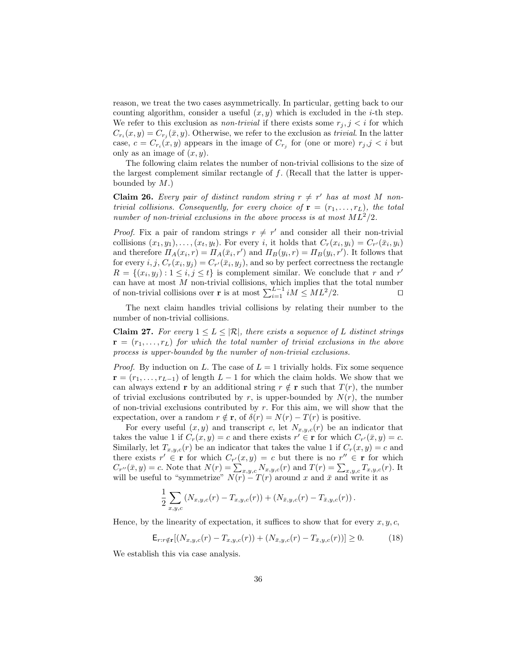reason, we treat the two cases asymmetrically. In particular, getting back to our counting algorithm, consider a useful  $(x, y)$  which is excluded in the *i*-th step. We refer to this exclusion as *non-trivial* if there exists some  $r_j$ ,  $j < i$  for which  $C_{r_i}(x, y) = C_{r_j}(\bar{x}, y)$ . Otherwise, we refer to the exclusion as *trivial*. In the latter case,  $c = C_{r_i}(x, y)$  appears in the image of  $C_{r_j}$  for (one or more)  $r_j, j \leq i$  but only as an image of  $(x, y)$ .

The following claim relates the number of non-trivial collisions to the size of the largest complement similar rectangle of f. (Recall that the latter is upperbounded by  $M$ .)

**Claim 26.** Every pair of distinct random string  $r \neq r'$  has at most M nontrivial collisions. Consequently, for every choice of  $\mathbf{r} = (r_1, \ldots, r_L)$ , the total number of non-trivial exclusions in the above process is at most  $ML^2/2$ .

*Proof.* Fix a pair of random strings  $r \neq r'$  and consider all their non-trivial collisions  $(x_1, y_1), \ldots, (x_t, y_t)$ . For every i, it holds that  $C_r(x_i, y_i) = C_{r'}(\bar{x}_i, y_i)$ and therefore  $\Pi_A(x_i, r) = \Pi_A(\bar{x}_i, r')$  and  $\Pi_B(y_i, r) = \Pi_B(y_i, r')$ . It follows that for every  $i, j, C_r(x_i, y_j) = C_{r'}(\bar{x}_i, y_j)$ , and so by perfect correctness the rectangle  $R = \{(x_i, y_j) : 1 \leq i, j \leq t\}$  is complement similar. We conclude that r and r' can have at most  $M$  non-trivial collisions, which implies that the total number of non-trivial collisions over **r** is at most  $\sum_{i=1}^{L-1} iM \leq ML^2/2$ .

The next claim handles trivial collisions by relating their number to the number of non-trivial collisions.

**Claim 27.** For every  $1 \leq L \leq |\mathcal{R}|$ , there exists a sequence of L distinct strings  $\mathbf{r} = (r_1, \ldots, r_L)$  for which the total number of trivial exclusions in the above process is upper-bounded by the number of non-trivial exclusions.

*Proof.* By induction on L. The case of  $L = 1$  trivially holds. Fix some sequence  $\mathbf{r} = (r_1, \ldots, r_{L-1})$  of length  $L-1$  for which the claim holds. We show that we can always extend r by an additional string  $r \notin r$  such that  $T(r)$ , the number of trivial exclusions contributed by r, is upper-bounded by  $N(r)$ , the number of non-trivial exclusions contributed by  $r$ . For this aim, we will show that the expectation, over a random  $r \notin \mathbf{r}$ , of  $\delta(r) = N(r) - T(r)$  is positive.

For every useful  $(x, y)$  and transcript c, let  $N_{x,y,c}(r)$  be an indicator that takes the value 1 if  $C_r(x, y) = c$  and there exists  $r' \in \mathbf{r}$  for which  $C_{r'}(\bar{x}, y) = c$ . Similarly, let  $T_{x,y,c}(r)$  be an indicator that takes the value 1 if  $C_r(x,y) = c$  and there exists  $r' \in \mathbf{r}$  for which  $C_{r'}(x, y) = c$  but there is no  $r'' \in \mathbf{r}$  for which  $C_{r''}(\bar{x},y) = c.$  Note that  $N(r) = \sum_{x,y,c} N_{x,y,c}(r)$  and  $T(r) = \sum_{x,y,c} T_{x,y,c}(r)$ . It will be useful to "symmetrize"  $N(r) - T(r)$  around x and  $\bar{x}$  and write it as

$$
\frac{1}{2}\sum_{x,y,c} (N_{x,y,c}(r) - T_{x,y,c}(r)) + (N_{\bar{x},y,c}(r) - T_{\bar{x},y,c}(r)).
$$

Hence, by the linearity of expectation, it suffices to show that for every  $x, y, c$ ,

$$
\mathsf{E}_{r:r\notin\mathbf{r}}[(N_{x,y,c}(r) - T_{x,y,c}(r)) + (N_{\bar{x},y,c}(r) - T_{\bar{x},y,c}(r))] \ge 0.
$$
 (18)

We establish this via case analysis.